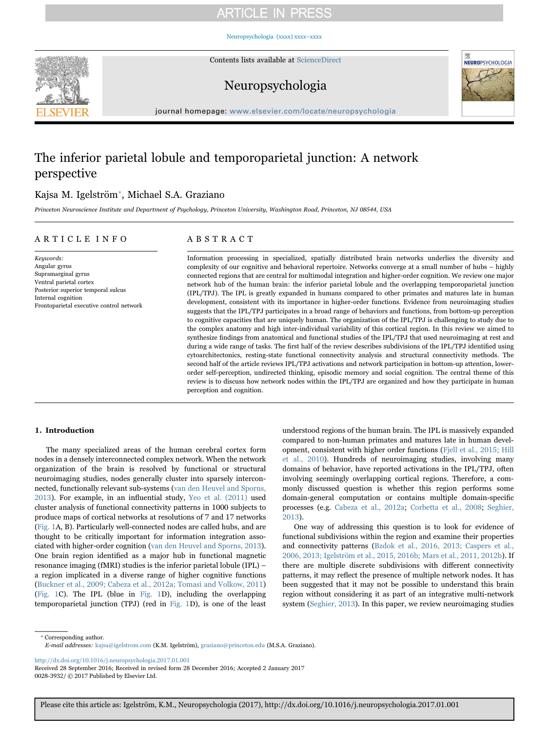[Neuropsychologia \(xxxx\) xxxx–xxxx](http://dx.doi.org/10.1016/j.neuropsychologia.2017.01.001)



Contents lists available at [ScienceDirect](http://www.sciencedirect.com/science/journal/00283932)

# Neuropsychologia



journal homepage: [www.elsevier.com/locate/neuropsychologia](http://www.elsevier.com/locate/neuropsychologia)

# The inferior parietal lobule and temporoparietal junction: A network perspective

## Kajsa M. Igelström<sup>\*</sup>[, Michael S.A. Graziano](#page-0-0)

Princeton Neuroscience Institute and Department of Psychology, Princeton University, Washington Road, Princeton, NJ 08544, USA

## ARTICLE INFO

## ABSTRACT

Keywords: Angular gyrus Supramarginal gyrus Ventral parietal cortex Posterior superior temporal sulcus Internal cognition Frontoparietal executive control network Information processing in specialized, spatially distributed brain networks underlies the diversity and complexity of our cognitive and behavioral repertoire. Networks converge at a small number of hubs – highly connected regions that are central for multimodal integration and higher-order cognition. We review one major network hub of the human brain: the inferior parietal lobule and the overlapping temporoparietal junction (IPL/TPJ). The IPL is greatly expanded in humans compared to other primates and matures late in human development, consistent with its importance in higher-order functions. Evidence from neuroimaging studies suggests that the IPL/TPJ participates in a broad range of behaviors and functions, from bottom-up perception to cognitive capacities that are uniquely human. The organization of the IPL/TPJ is challenging to study due to the complex anatomy and high inter-individual variability of this cortical region. In this review we aimed to synthesize findings from anatomical and functional studies of the IPL/TPJ that used neuroimaging at rest and during a wide range of tasks. The first half of the review describes subdivisions of the IPL/TPJ identified using cytoarchitectonics, resting-state functional connectivity analysis and structural connectivity methods. The second half of the article reviews IPL/TPJ activations and network participation in bottom-up attention, lowerorder self-perception, undirected thinking, episodic memory and social cognition. The central theme of this review is to discuss how network nodes within the IPL/TPJ are organized and how they participate in human perception and cognition.

### 1. Introduction

The many specialized areas of the human cerebral cortex form nodes in a densely interconnected complex network. When the network organization of the brain is resolved by functional or structural neuroimaging studies, nodes generally cluster into sparsely interconnected, functionally relevant sub-systems ([van den Heuvel and Sporns,](#page-13-0) [2013\)](#page-13-0). For example, in an influential study, [Yeo et al. \(2011\)](#page-13-1) used cluster analysis of functional connectivity patterns in 1000 subjects to produce maps of cortical networks at resolutions of 7 and 17 networks ([Fig. 1A](#page-1-0), B). Particularly well-connected nodes are called hubs, and are thought to be critically important for information integration associated with higher-order cognition ([van den Heuvel and Sporns, 2013\)](#page-13-0). One brain region identified as a major hub in functional magnetic resonance imaging (fMRI) studies is the inferior parietal lobule (IPL) – a region implicated in a diverse range of higher cognitive functions ([Buckner et al., 2009; Cabeza et al., 2012a; Tomasi and Volkow, 2011\)](#page-11-0) ([Fig. 1C](#page-1-0)). The IPL (blue in [Fig. 1](#page-1-0)D), including the overlapping temporoparietal junction (TPJ) (red in [Fig. 1D](#page-1-0)), is one of the least

understood regions of the human brain. The IPL is massively expanded compared to non-human primates and matures late in human development, consistent with higher order functions ([Fjell et al., 2015; Hill](#page-11-1) [et al., 2010\)](#page-11-1). Hundreds of neuroimaging studies, involving many domains of behavior, have reported activations in the IPL/TPJ, often involving seemingly overlapping cortical regions. Therefore, a commonly discussed question is whether this region performs some domain-general computation or contains multiple domain-specific processes (e.g. [Cabeza et al., 2012a](#page-11-2); [Corbetta et al., 2008;](#page-11-3) [Seghier,](#page-13-2) [2013\)](#page-13-2).

One way of addressing this question is to look for evidence of functional subdivisions within the region and examine their properties and connectivity patterns [\(Bzdok et al., 2016, 2013; Caspers et al.,](#page-11-4) [2006, 2013; Igelström et al., 2015, 2016b; Mars et al., 2011, 2012b\)](#page-11-4). If there are multiple discrete subdivisions with different connectivity patterns, it may reflect the presence of multiple network nodes. It has been suggested that it may not be possible to understand this brain region without considering it as part of an integrative multi-network system [\(Seghier, 2013](#page-13-2)). In this paper, we review neuroimaging studies

<span id="page-0-0"></span>⁎ Corresponding author. E-mail addresses: kajsa@igelstrom.com (K.M. Igelström), graziano@princeton.edu (M.S.A. Graziano).

<http://dx.doi.org/10.1016/j.neuropsychologia.2017.01.001>

Received 28 September 2016; Received in revised form 28 December 2016; Accepted 2 January 2017 0028-3932/ © 2017 Published by Elsevier Ltd.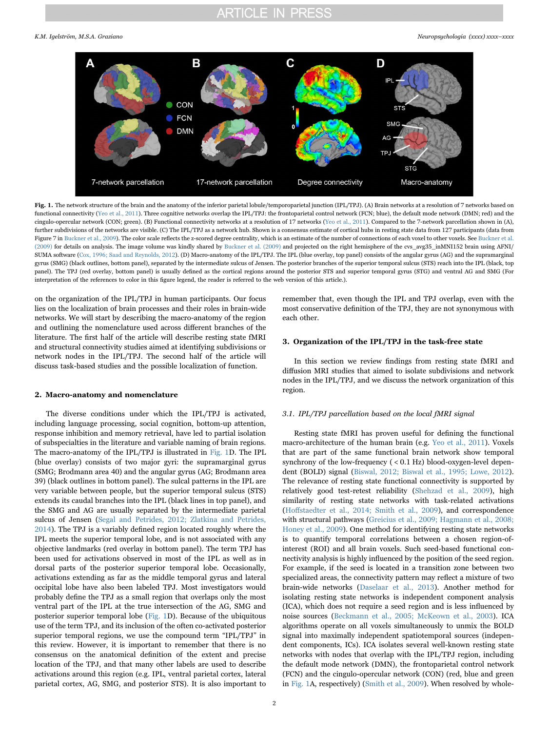<span id="page-1-0"></span>

Fig. 1. The network structure of the brain and the anatomy of the inferior parietal lobule/temporoparietal junction (IPL/TPJ). (A) Brain networks at a resolution of 7 networks based on functional connectivity [\(Yeo et al., 2011](#page-13-1)). Three cognitive networks overlap the IPL/TPJ: the frontoparietal control network (FCN; blue), the default mode network (DMN; red) and the cingulo-opercular network (CON; green). (B) Functional connectivity networks at a resolution of 17 networks ([Yeo et al., 2011](#page-13-1)). Compared to the 7-network parcellation shown in (A), further subdivisions of the networks are visible. (C) The IPL/TPJ as a network hub. Shown is a consensus estimate of cortical hubs in resting state data from 127 participants (data from Figure 7 in [Buckner et al., 2009](#page-11-0)). The color scale reflects the z-scored degree centrality, which is an estimate of the number of connections of each voxel to other voxels. See [Buckner et al.](#page-11-0) [\(2009\)](#page-11-0) for details on analysis. The image volume was kindly shared by [Buckner et al. \(2009\)](#page-11-0) and projected on the right hemisphere of the cvs avg35 inMNI152 brain using AFNI/ SUMA software [\(Cox, 1996; Saad and Reynolds, 2012](#page-11-7)). (D) Macro-anatomy of the IPL/TPJ. The IPL (blue overlay, top panel) consists of the angular gyrus (AG) and the supramarginal gyrus (SMG) (black outlines, bottom panel), separated by the intermediate sulcus of Jensen. The posterior branches of the superior temporal sulcus (STS) reach into the IPL (black, top panel). The TPJ (red overlay, bottom panel) is usually defined as the cortical regions around the posterior STS and superior temporal gyrus (STG) and ventral AG and SMG (For interpretation of the references to color in this figure legend, the reader is referred to the web version of this article.).

on the organization of the IPL/TPJ in human participants. Our focus lies on the localization of brain processes and their roles in brain-wide networks. We will start by describing the macro-anatomy of the region and outlining the nomenclature used across different branches of the literature. The first half of the article will describe resting state fMRI and structural connectivity studies aimed at identifying subdivisions or network nodes in the IPL/TPJ. The second half of the article will discuss task-based studies and the possible localization of function.

#### 2. Macro-anatomy and nomenclature

The diverse conditions under which the IPL/TPJ is activated, including language processing, social cognition, bottom-up attention, response inhibition and memory retrieval, have led to partial isolation of subspecialties in the literature and variable naming of brain regions. The macro-anatomy of the IPL/TPJ is illustrated in [Fig. 1](#page-1-0)D. The IPL (blue overlay) consists of two major gyri: the supramarginal gyrus (SMG; Brodmann area 40) and the angular gyrus (AG; Brodmann area 39) (black outlines in bottom panel). The sulcal patterns in the IPL are very variable between people, but the superior temporal sulcus (STS) extends its caudal branches into the IPL (black lines in top panel), and the SMG and AG are usually separated by the intermediate parietal sulcus of Jensen ([Segal and Petrides, 2012; Zlatkina and Petrides,](#page-13-3) [2014\)](#page-13-3). The TPJ is a variably defined region located roughly where the IPL meets the superior temporal lobe, and is not associated with any objective landmarks (red overlay in bottom panel). The term TPJ has been used for activations observed in most of the IPL as well as in dorsal parts of the posterior superior temporal lobe. Occasionally, activations extending as far as the middle temporal gyrus and lateral occipital lobe have also been labeled TPJ. Most investigators would probably define the TPJ as a small region that overlaps only the most ventral part of the IPL at the true intersection of the AG, SMG and posterior superior temporal lobe ([Fig. 1](#page-1-0)D). Because of the ubiquitous use of the term TPJ, and its inclusion of the often co-activated posterior superior temporal regions, we use the compound term "IPL/TPJ" in this review. However, it is important to remember that there is no consensus on the anatomical definition of the extent and precise location of the TPJ, and that many other labels are used to describe activations around this region (e.g. IPL, ventral parietal cortex, lateral parietal cortex, AG, SMG, and posterior STS). It is also important to

remember that, even though the IPL and TPJ overlap, even with the most conservative definition of the TPJ, they are not synonymous with each other.

### 3. Organization of the IPL/TPJ in the task-free state

In this section we review findings from resting state fMRI and diffusion MRI studies that aimed to isolate subdivisions and network nodes in the IPL/TPJ, and we discuss the network organization of this region.

### <span id="page-1-1"></span>3.1. IPL/TPJ parcellation based on the local fMRI signal

Resting state fMRI has proven useful for defining the functional macro-architecture of the human brain (e.g. [Yeo et al., 2011](#page-13-1)). Voxels that are part of the same functional brain network show temporal synchrony of the low-frequency ( < 0.1 Hz) blood-oxygen-level dependent (BOLD) signal [\(Biswal, 2012; Biswal et al., 1995; Lowe, 2012\)](#page-10-0). The relevance of resting state functional connectivity is supported by relatively good test-retest reliability [\(Shehzad et al., 2009](#page-13-4)), high similarity of resting state networks with task-related activations (Hoff[staedter et al., 2014; Smith et al., 2009](#page-12-0)), and correspondence with structural pathways ([Greicius et al., 2009; Hagmann et al., 2008;](#page-11-5) [Honey et al., 2009](#page-11-5)). One method for identifying resting state networks is to quantify temporal correlations between a chosen region-ofinterest (ROI) and all brain voxels. Such seed-based functional connectivity analysis is highly influenced by the position of the seed region. For example, if the seed is located in a transition zone between two specialized areas, the connectivity pattern may reflect a mixture of two brain-wide networks [\(Daselaar et al., 2013](#page-11-6)). Another method for isolating resting state networks is independent component analysis (ICA), which does not require a seed region and is less influenced by noise sources [\(Beckmann et al., 2005; McKeown et al., 2003](#page-10-1)). ICA algorithms operate on all voxels simultaneously to unmix the BOLD signal into maximally independent spatiotemporal sources (independent components, ICs). ICA isolates several well-known resting state networks with nodes that overlap with the IPL/TPJ region, including the default mode network (DMN), the frontoparietal control network (FCN) and the cingulo-opercular network (CON) (red, blue and green in [Fig. 1](#page-1-0)A, respectively) [\(Smith et al., 2009](#page-13-5)). When resolved by whole-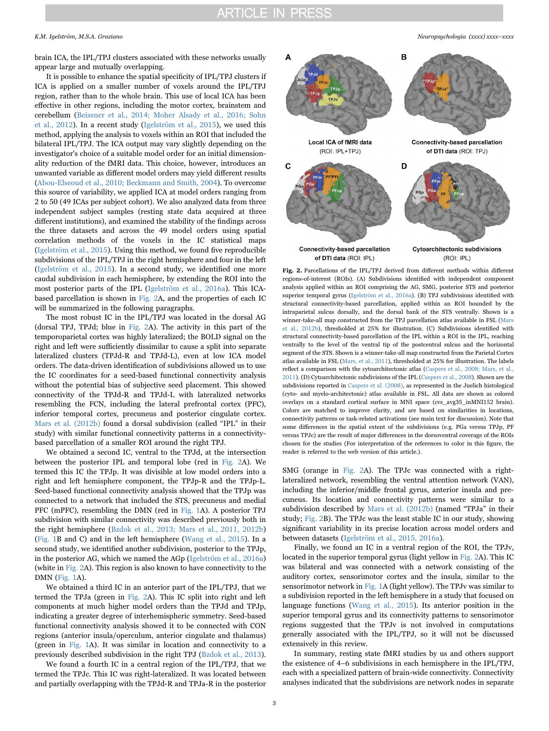brain ICA, the IPL/TPJ clusters associated with these networks usually appear large and mutually overlapping.

It is possible to enhance the spatial specificity of IPL/TPJ clusters if ICA is applied on a smaller number of voxels around the IPL/TPJ region, rather than to the whole brain. This use of local ICA has been effective in other regions, including the motor cortex, brainstem and cerebellum ([Beissner et al., 2014; Moher Alsady et al., 2016; Sohn](#page-10-2) [et al., 2012](#page-10-2)). In a recent study [\(Igelström et al., 2015\)](#page-12-1), we used this method, applying the analysis to voxels within an ROI that included the bilateral IPL/TPJ. The ICA output may vary slightly depending on the investigator's choice of a suitable model order for an initial dimensionality reduction of the fMRI data. This choice, however, introduces an unwanted variable as different model orders may yield different results ([Abou-Elseoud et al., 2010; Beckmann and Smith, 2004\)](#page-10-3). To overcome this source of variability, we applied ICA at model orders ranging from 2 to 50 (49 ICAs per subject cohort). We also analyzed data from three independent subject samples (resting state data acquired at three different institutions), and examined the stability of the findings across the three datasets and across the 49 model orders using spatial correlation methods of the voxels in the IC statistical maps ([Igelström et al., 2015\)](#page-12-1). Using this method, we found five reproducible subdivisions of the IPL/TPJ in the right hemisphere and four in the left ([Igelström et al., 2015](#page-12-1)). In a second study, we identified one more caudal subdivision in each hemisphere, by extending the ROI into the most posterior parts of the IPL ([Igelström et al., 2016a](#page-12-2)). This ICAbased parcellation is shown in [Fig. 2](#page-2-0)A, and the properties of each IC will be summarized in the following paragraphs.

The most robust IC in the IPL/TPJ was located in the dorsal AG (dorsal TPJ, TPJd; blue in [Fig. 2](#page-2-0)A). The activity in this part of the temporoparietal cortex was highly lateralized; the BOLD signal on the right and left were sufficiently dissimilar to cause a split into separate lateralized clusters (TPJd-R and TPJd-L), even at low ICA model orders. The data-driven identification of subdivisions allowed us to use the IC coordinates for a seed-based functional connectivity analysis without the potential bias of subjective seed placement. This showed connectivity of the TPJd-R and TPJd-L with lateralized networks resembling the FCN, including the lateral prefrontal cortex (PFC), inferior temporal cortex, precuneus and posterior cingulate cortex. [Mars et al. \(2012b\)](#page-12-3) found a dorsal subdivision (called "IPL" in their study) with similar functional connectivity patterns in a connectivitybased parcellation of a smaller ROI around the right TPJ.

We obtained a second IC, ventral to the TPJd, at the intersection between the posterior IPL and temporal lobe (red in [Fig. 2A](#page-2-0)). We termed this IC the TPJp. It was divisible at low model orders into a right and left hemisphere component, the TPJp-R and the TPJp-L. Seed-based functional connectivity analysis showed that the TPJp was connected to a network that included the STS, precuneus and medial PFC (mPFC), resembling the DMN (red in [Fig. 1](#page-1-0)A). A posterior TPJ subdivision with similar connectivity was described previously both in the right hemisphere ([Bzdok et al., 2013; Mars et al., 2011, 2012b\)](#page-11-8) ([Fig. 1B](#page-1-0) and C) and in the left hemisphere [\(Wang et al., 2015](#page-13-6)). In a second study, we identified another subdivision, posterior to the TPJp, in the posterior AG, which we named the AGp ([Igelström et al., 2016a\)](#page-12-2) (white in [Fig. 2](#page-2-0)A). This region is also known to have connectivity to the DMN ([Fig. 1](#page-1-0)A).

We obtained a third IC in an anterior part of the IPL/TPJ, that we termed the TPJa (green in [Fig. 2A](#page-2-0)). This IC split into right and left components at much higher model orders than the TPJd and TPJp, indicating a greater degree of interhemispheric symmetry. Seed-based functional connectivity analysis showed it to be connected with CON regions (anterior insula/operculum, anterior cingulate and thalamus) (green in [Fig. 1A](#page-1-0)). It was similar in location and connectivity to a previously described subdivision in the right TPJ ([Bzdok et al., 2013\)](#page-11-8).

We found a fourth IC in a central region of the IPL/TPJ, that we termed the TPJc. This IC was right-lateralized. It was located between and partially overlapping with the TPJd-R and TPJa-R in the posterior

K.M. Igelström, M.S.A. Graziano *Neuropsychologia (xxxx) xxxx–xxxx*

<span id="page-2-0"></span>

Fig. 2. Parcellations of the IPL/TPJ derived from different methods within different regions-of-interest (ROIs). (A) Subdivisions identified with independent component analysis applied within an ROI comprising the AG, SMG, posterior STS and posterior superior temporal gyrus ([Igelström et al., 2016a\)](#page-12-2). (B) TPJ subdivisions identified with structural connectivity-based parcellation, applied within an ROI bounded by the intraparietal sulcus dorsally, and the dorsal bank of the STS ventrally. Shown is a winner-take-all map constructed from the TPJ parcellation atlas available in FSL [\(Mars](#page-12-3) [et al., 2012b](#page-12-3)), thresholded at 25% for illustration. (C) Subdivisions identified with structural connectivity-based parcellation of the IPL within a ROI in the IPL, reaching ventrally to the level of the ventral tip of the postcentral sulcus and the horizontal segment of the STS. Shown is a winner-take-all map constructed from the Parietal Cortex atlas available in FSL [\(Mars, et al., 2011](#page-12-4)), thresholded at 25% for illustration. The labels reflect a comparison with the cytoarchitectonic atlas ([Caspers et al., 2008; Mars, et al.,](#page-11-9) [2011\)](#page-11-9). (D) Cytoarchitectonic subdivisions of the IPL [\(Caspers et al., 2008\)](#page-11-9). Shown are the subdivisions reported in [Caspers et al. \(2008\)](#page-11-9), as represented in the Juelich histological (cyto- and myelo-architectonic) atlas available in FSL. All data are shown as colored overlays on a standard cortical surface in MNI space (cvs\_avg35\_inMNI152 brain). Colors are matched to improve clarity, and are based on similarities in locations, connectivity patterns or task-related activations (see main text for discussion). Note that some differences in the spatial extent of the subdivisions (e.g. PGa versus TPJp, PF versus TPJc) are the result of major differences in the dorsoventral coverage of the ROIs chosen for the studies (For interpretation of the references to color in this figure, the reader is referred to the web version of this article.).

SMG (orange in [Fig. 2A](#page-2-0)). The TPJc was connected with a rightlateralized network, resembling the ventral attention network (VAN), including the inferior/middle frontal gyrus, anterior insula and precuneus. Its location and connectivity patterns were similar to a subdivision described by [Mars et al. \(2012b\)](#page-12-3) (named "TPJa" in their study; [Fig. 2B](#page-2-0)). The TPJc was the least stable IC in our study, showing significant variability in its precise location across model orders and between datasets [\(Igelström et al., 2015, 2016a](#page-12-1)).

Finally, we found an IC in a ventral region of the ROI, the TPJv, located in the superior temporal gyrus (light yellow in [Fig. 2](#page-2-0)A). This IC was bilateral and was connected with a network consisting of the auditory cortex, sensorimotor cortex and the insula, similar to the sensorimotor network in [Fig. 1](#page-1-0)A (light yellow). The TPJv was similar to a subdivision reported in the left hemisphere in a study that focused on language functions ([Wang et al., 2015\)](#page-13-6). Its anterior position in the superior temporal gyrus and its connectivity patterns to sensorimotor regions suggested that the TPJv is not involved in computations generally associated with the IPL/TPJ, so it will not be discussed extensively in this review.

In summary, resting state fMRI studies by us and others support the existence of 4–6 subdivisions in each hemisphere in the IPL/TPJ, each with a specialized pattern of brain-wide connectivity. Connectivity analyses indicated that the subdivisions are network nodes in separate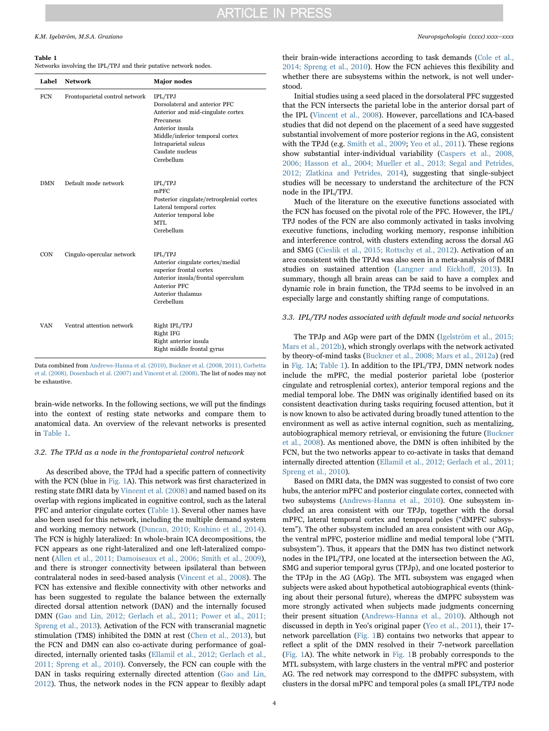#### <span id="page-3-0"></span>Table 1

Networks involving the IPL/TPJ and their putative network nodes.

| Label      | <b>Network</b>                 | <b>Major</b> nodes                                                                                                                                                                                               |
|------------|--------------------------------|------------------------------------------------------------------------------------------------------------------------------------------------------------------------------------------------------------------|
| FCN        | Frontoparietal control network | <b>IPL/TPJ</b><br>Dorsolateral and anterior PFC<br>Anterior and mid-cingulate cortex<br>Precuneus<br>Anterior insula<br>Middle/inferior temporal cortex<br>Intraparietal sulcus<br>Caudate nucleus<br>Cerebellum |
| <b>DMN</b> | Default mode network           | <b>IPL/TPJ</b><br>$m$ PFC<br>Posterior cingulate/retrosplenial cortex<br>Lateral temporal cortex<br>Anterior temporal lobe<br>MTL<br>Cerebellum                                                                  |
| <b>CON</b> | Cingulo-opercular network      | <b>IPL/TPJ</b><br>Anterior cingulate cortex/medial<br>superior frontal cortex<br>Anterior insula/frontal operculum<br>Anterior PFC<br>Anterior thalamus<br>Cerebellum                                            |
| VAN        | Ventral attention network      | Right IPL/TPJ<br>Right IFG<br>Right anterior insula<br>Right middle frontal gyrus                                                                                                                                |

Data combined from [Andrews-Hanna et al. \(2010\), Buckner et al. \(2008, 2011\), Corbetta](#page-10-5) [et al. \(2008\), Dosenbach et al. \(2007\) and Vincent et al. \(2008\)](#page-10-5). The list of nodes may not be exhaustive.

brain-wide networks. In the following sections, we will put the findings into the context of resting state networks and compare them to anatomical data. An overview of the relevant networks is presented in [Table 1.](#page-3-0)

#### <span id="page-3-1"></span>3.2. The TPJd as a node in the frontoparietal control network

As described above, the TPJd had a specific pattern of connectivity with the FCN (blue in [Fig. 1A](#page-1-0)). This network was first characterized in resting state fMRI data by [Vincent et al. \(2008\)](#page-13-7) and named based on its overlap with regions implicated in cognitive control, such as the lateral PFC and anterior cingulate cortex [\(Table 1\)](#page-3-0). Several other names have also been used for this network, including the multiple demand system and working memory network [\(Duncan, 2010; Koshino et al., 2014\)](#page-11-10). The FCN is highly lateralized: In whole-brain ICA decompositions, the FCN appears as one right-lateralized and one left-lateralized component [\(Allen et al., 2011; Damoiseaux et al., 2006; Smith et al., 2009\)](#page-10-4), and there is stronger connectivity between ipsilateral than between contralateral nodes in seed-based analysis ([Vincent et al., 2008](#page-13-7)). The FCN has extensive and flexible connectivity with other networks and has been suggested to regulate the balance between the externally directed dorsal attention network (DAN) and the internally focused DMN ([Gao and Lin, 2012; Gerlach et al., 2011; Power et al., 2011;](#page-11-11) [Spreng et al., 2013](#page-11-11)). Activation of the FCN with transcranial magnetic stimulation (TMS) inhibited the DMN at rest ([Chen et al., 2013\)](#page-11-12), but the FCN and DMN can also co-activate during performance of goaldirected, internally oriented tasks [\(Ellamil et al., 2012; Gerlach et al.,](#page-11-13) [2011; Spreng et al., 2010\)](#page-11-13). Conversely, the FCN can couple with the DAN in tasks requiring externally directed attention [\(Gao and Lin,](#page-11-11) [2012\)](#page-11-11). Thus, the network nodes in the FCN appear to flexibly adapt

their brain-wide interactions according to task demands [\(Cole et al.,](#page-11-14) [2014; Spreng et al., 2010\)](#page-11-14). How the FCN achieves this flexibility and whether there are subsystems within the network, is not well understood.

Initial studies using a seed placed in the dorsolateral PFC suggested that the FCN intersects the parietal lobe in the anterior dorsal part of the IPL ([Vincent et al., 2008](#page-13-7)). However, parcellations and ICA-based studies that did not depend on the placement of a seed have suggested substantial involvement of more posterior regions in the AG, consistent with the TPJd (e.g. [Smith et al., 2009;](#page-13-5) [Yeo et al., 2011\)](#page-13-1). These regions show substantial inter-individual variability ([Caspers et al., 2008,](#page-11-9) [2006; Hasson et al., 2004; Mueller et al., 2013; Segal and Petrides,](#page-11-9) [2012; Zlatkina and Petrides, 2014\)](#page-11-9), suggesting that single-subject studies will be necessary to understand the architecture of the FCN node in the IPL/TPJ.

Much of the literature on the executive functions associated with the FCN has focused on the pivotal role of the PFC. However, the IPL/ TPJ nodes of the FCN are also commonly activated in tasks involving executive functions, including working memory, response inhibition and interference control, with clusters extending across the dorsal AG and SMG ([Cieslik et al., 2015; Rottschy et al., 2012\)](#page-11-15). Activation of an area consistent with the TPJd was also seen in a meta-analysis of fMRI studies on sustained attention [\(Langner and Eickho](#page-12-5)ff, 2013). In summary, though all brain areas can be said to have a complex and dynamic role in brain function, the TPJd seems to be involved in an especially large and constantly shifting range of computations.

#### 3.3. IPL/TPJ nodes associated with default mode and social networks

The TPJp and AGp were part of the DMN [\(Igelström et al., 2015;](#page-12-1) [Mars et al., 2012b\)](#page-12-1), which strongly overlaps with the network activated by theory-of-mind tasks [\(Buckner et al., 2008; Mars et al., 2012a\)](#page-11-16) (red in [Fig. 1A](#page-1-0); [Table 1\)](#page-3-0). In addition to the IPL/TPJ, DMN network nodes include the mPFC, the medial posterior parietal lobe (posterior cingulate and retrosplenial cortex), anterior temporal regions and the medial temporal lobe. The DMN was originally identified based on its consistent deactivation during tasks requiring focused attention, but it is now known to also be activated during broadly tuned attention to the environment as well as active internal cognition, such as mentalizing, autobiographical memory retrieval, or envisioning the future [\(Buckner](#page-11-16) [et al., 2008\)](#page-11-16). As mentioned above, the DMN is often inhibited by the FCN, but the two networks appear to co-activate in tasks that demand internally directed attention [\(Ellamil et al., 2012; Gerlach et al., 2011;](#page-11-13) [Spreng et al., 2010\)](#page-11-13).

Based on fMRI data, the DMN was suggested to consist of two core hubs, the anterior mPFC and posterior cingulate cortex, connected with two subsystems ([Andrews-Hanna et al., 2010\)](#page-10-5). One subsystem included an area consistent with our TPJp, together with the dorsal mPFC, lateral temporal cortex and temporal poles ("dMPFC subsystem"). The other subsystem included an area consistent with our AGp, the ventral mPFC, posterior midline and medial temporal lobe ("MTL subsystem"). Thus, it appears that the DMN has two distinct network nodes in the IPL/TPJ, one located at the intersection between the AG, SMG and superior temporal gyrus (TPJp), and one located posterior to the TPJp in the AG (AGp). The MTL subsystem was engaged when subjects were asked about hypothetical autobiographical events (thinking about their personal future), whereas the dMPFC subsystem was more strongly activated when subjects made judgments concerning their present situation ([Andrews-Hanna et al., 2010](#page-10-5)). Although not discussed in depth in Yeo's original paper [\(Yeo et al., 2011](#page-13-1)), their 17 network parcellation [\(Fig. 1B](#page-1-0)) contains two networks that appear to reflect a split of the DMN resolved in their 7-network parcellation ([Fig. 1A](#page-1-0)). The white network in [Fig. 1B](#page-1-0) probably corresponds to the MTL subsystem, with large clusters in the ventral mPFC and posterior AG. The red network may correspond to the dMPFC subsystem, with clusters in the dorsal mPFC and temporal poles (a small IPL/TPJ node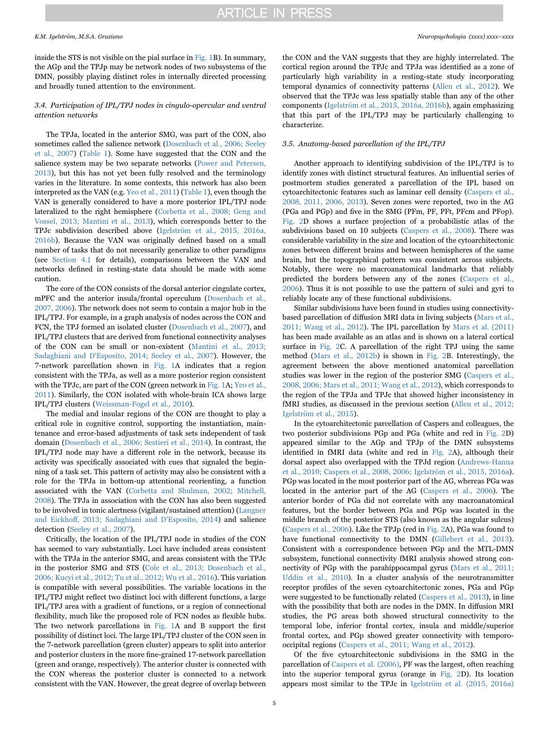inside the STS is not visible on the pial surface in [Fig. 1](#page-1-0)B). In summary, the AGp and the TPJp may be network nodes of two subsystems of the DMN, possibly playing distinct roles in internally directed processing and broadly tuned attention to the environment.

### 3.4. Participation of IPL/TPJ nodes in cingulo-opercular and ventral attention networks

The TPJa, located in the anterior SMG, was part of the CON, also sometimes called the salience network ([Dosenbach et al., 2006; Seeley](#page-11-17) [et al., 2007\)](#page-11-17) [\(Table 1](#page-3-0)). Some have suggested that the CON and the salience system may be two separate networks [\(Power and Petersen,](#page-12-6) [2013\)](#page-12-6), but this has not yet been fully resolved and the terminology varies in the literature. In some contexts, this network has also been interpreted as the VAN (e.g. [Yeo et al., 2011](#page-13-1)) [\(Table 1](#page-3-0)), even though the VAN is generally considered to have a more posterior IPL/TPJ node lateralized to the right hemisphere [\(Corbetta et al., 2008; Geng and](#page-11-3) [Vossel, 2013; Mantini et al., 2013](#page-11-3)), which corresponds better to the TPJc subdivision described above [\(Igelström et al., 2015, 2016a,](#page-12-1) [2016b](#page-12-1)). Because the VAN was originally defined based on a small number of tasks that do not necessarily generalize to other paradigms (see [Section 4.1](#page-5-0) for details), comparisons between the VAN and networks defined in resting-state data should be made with some caution.

The core of the CON consists of the dorsal anterior cingulate cortex, mPFC and the anterior insula/frontal operculum ([Dosenbach et al.,](#page-11-18) [2007, 2006\)](#page-11-18). The network does not seem to contain a major hub in the IPL/TPJ. For example, in a graph analysis of nodes across the CON and FCN, the TPJ formed an isolated cluster [\(Dosenbach et al., 2007\)](#page-11-18), and IPL/TPJ clusters that are derived from functional connectivity analyses of the CON can be small or non-existent ([Mantini et al., 2013;](#page-12-7) [Sadaghiani and D'Esposito, 2014; Seeley et al., 2007\)](#page-12-7). However, the 7-network parcellation shown in [Fig. 1](#page-1-0)A indicates that a region consistent with the TPJa, as well as a more posterior region consistent with the TPJc, are part of the CON (green network in [Fig. 1A](#page-1-0); [Yeo et al.,](#page-13-1) [2011\)](#page-13-1). Similarly, the CON isolated with whole-brain ICA shows large IPL/TPJ clusters ([Weissman-Fogel et al., 2010\)](#page-13-8).

The medial and insular regions of the CON are thought to play a critical role in cognitive control, supporting the instantiation, maintenance and error-based adjustments of task sets independent of task domain [\(Dosenbach et al., 2006; Sestieri et al., 2014\)](#page-11-17). In contrast, the IPL/TPJ node may have a different role in the network, because its activity was specifically associated with cues that signaled the beginning of a task set. This pattern of activity may also be consistent with a role for the TPJa in bottom-up attentional reorienting, a function associated with the VAN ([Corbetta and Shulman, 2002; Mitchell,](#page-11-19) [2008\)](#page-11-19). The TPJa in association with the CON has also been suggested to be involved in tonic alertness (vigilant/sustained attention) [\(Langner](#page-12-5) and Eickhoff[, 2013; Sadaghiani and D'Esposito, 2014\)](#page-12-5) and salience detection [\(Seeley et al., 2007](#page-13-9)).

Critically, the location of the IPL/TPJ node in studies of the CON has seemed to vary substantially. Loci have included areas consistent with the TPJa in the anterior SMG, and areas consistent with the TPJc in the posterior SMG and STS (Cole [et al., 2013; Dosenbach et al.,](#page-11-20) [2006; Kucyi et al., 2012; Tu et al., 2012; Wu et al., 2016\)](#page-11-20). This variation is compatible with several possibilities. The variable locations in the IPL/TPJ might reflect two distinct loci with different functions, a large IPL/TPJ area with a gradient of functions, or a region of connectional flexibility, much like the proposed role of FCN nodes as flexible hubs. The two network parcellations in [Fig. 1A](#page-1-0) and B support the first possibility of distinct loci. The large IPL/TPJ cluster of the CON seen in the 7-network parcellation (green cluster) appears to split into anterior and posterior clusters in the more fine-grained 17-network parcellation (green and orange, respectively). The anterior cluster is connected with the CON whereas the posterior cluster is connected to a network consistent with the VAN. However, the great degree of overlap between

the CON and the VAN suggests that they are highly interrelated. The cortical region around the TPJc and TPJa was identified as a zone of particularly high variability in a resting-state study incorporating temporal dynamics of connectivity patterns ([Allen et al., 2012](#page-10-6)). We observed that the TPJc was less spatially stable than any of the other components [\(Igelström et al., 2015, 2016a, 2016b](#page-12-1)), again emphasizing that this part of the IPL/TPJ may be particularly challenging to characterize.

#### 3.5. Anatomy-based parcellation of the IPL/TPJ

Another approach to identifying subdivision of the IPL/TPJ is to identify zones with distinct structural features. An influential series of postmortem studies generated a parcellation of the IPL based on cytoarchitectonic features such as laminar cell density [\(Caspers et al.,](#page-11-9) [2008, 2011, 2006, 2013](#page-11-9)). Seven zones were reported, two in the AG (PGa and PGp) and five in the SMG (PFm, PF, PFt, PFcm and PFop). [Fig. 2D](#page-2-0) shows a surface projection of a probabilistic atlas of the subdivisions based on 10 subjects [\(Caspers et al., 2008\)](#page-11-9). There was considerable variability in the size and location of the cytoarchitectonic zones between different brains and between hemispheres of the same brain, but the topographical pattern was consistent across subjects. Notably, there were no macroanatomical landmarks that reliably predicted the borders between any of the zones [\(Caspers et al.,](#page-11-21) [2006\)](#page-11-21). Thus it is not possible to use the pattern of sulci and gyri to reliably locate any of these functional subdivisions.

Similar subdivisions have been found in studies using connectivitybased parcellation of diffusion MRI data in living subjects ([Mars et al.,](#page-12-4) [2011; Wang et al., 2012\)](#page-12-4). The IPL parcellation by [Mars et al. \(2011\)](#page-12-4) has been made available as an atlas and is shown on a lateral cortical surface in [Fig. 2C](#page-2-0). A parcellation of the right TPJ using the same method [\(Mars et al., 2012b](#page-12-3)) is shown in [Fig. 2](#page-2-0)B. Interestingly, the agreement between the above mentioned anatomical parcellation studies was lower in the region of the posterior SMG ([Caspers et al.,](#page-11-9) [2008, 2006; Mars et al., 2011; Wang et al., 2012](#page-11-9)), which corresponds to the region of the TPJa and TPJc that showed higher inconsistency in fMRI studies, as discussed in the previous section [\(Allen et al., 2012;](#page-10-6) [Igelström et al., 2015\)](#page-10-6).

In the cytoarchitectonic parcellation of Caspers and colleagues, the two posterior subdivisions PGp and PGa (white and red in [Fig. 2D](#page-2-0)) appeared similar to the AGp and TPJp of the DMN subsystems identified in fMRI data (white and red in [Fig. 2A](#page-2-0)), although their dorsal aspect also overlapped with the TPJd region ([Andrews-Hanna](#page-10-5) [et al., 2010; Caspers et al., 2008, 2006; Igelström et al., 2015, 2016a\)](#page-10-5). PGp was located in the most posterior part of the AG, whereas PGa was located in the anterior part of the AG [\(Caspers et al., 2006\)](#page-11-21). The anterior border of PGa did not correlate with any macroanatomical features, but the border between PGa and PGp was located in the middle branch of the posterior STS (also known as the angular sulcus) ([Caspers et al., 2006\)](#page-11-21). Like the TPJp (red in [Fig. 2](#page-2-0)A), PGa was found to have functional connectivity to the DMN ([Gillebert et al., 2013](#page-11-22)). Consistent with a correspondence between PGp and the MTL-DMN subsystem, functional connectivity fMRI analysis showed strong connectivity of PGp with the parahippocampal gyrus [\(Mars et al., 2011;](#page-12-4) [Uddin et al., 2010\)](#page-12-4). In a cluster analysis of the neurotransmitter receptor profiles of the seven cytoarchitectonic zones, PGa and PGp were suggested to be functionally related [\(Caspers et al., 2013\)](#page-11-23), in line with the possibility that both are nodes in the DMN. In diffusion MRI studies, the PG areas both showed structural connectivity to the temporal lobe, inferior frontal cortex, insula and middle/superior frontal cortex, and PGp showed greater connectivity with temporooccipital regions ([Caspers et al., 2011; Wang et al., 2012](#page-11-24)).

Of the five cytoarchitectonic subdivisions in the SMG in the parcellation of [Caspers et al. \(2006\)](#page-11-21), PF was the largest, often reaching into the superior temporal gyrus (orange in [Fig. 2](#page-2-0)D). Its location appears most similar to the TPJc in [Igelström et al. \(2015, 2016a\)](#page-12-1)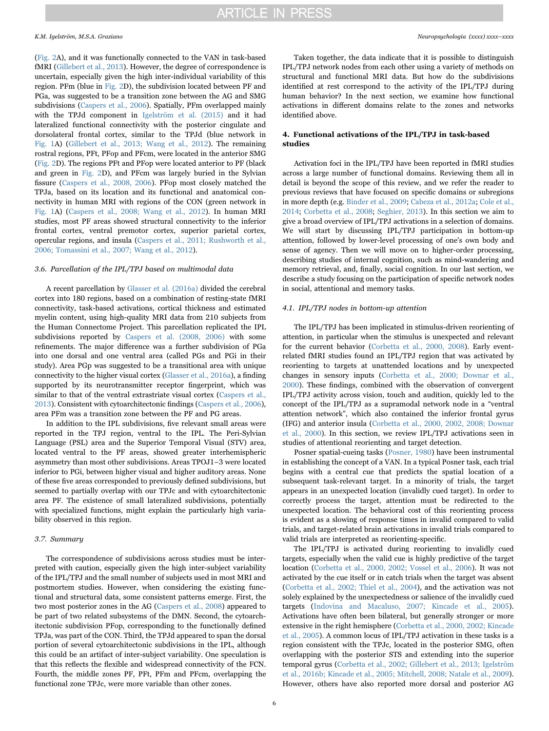([Fig. 2](#page-2-0)A), and it was functionally connected to the VAN in task-based fMRI [\(Gillebert et al., 2013\)](#page-11-22). However, the degree of correspondence is uncertain, especially given the high inter-individual variability of this region. PFm (blue in [Fig. 2D](#page-2-0)), the subdivision located between PF and PGa, was suggested to be a transition zone between the AG and SMG subdivisions [\(Caspers et al., 2006\)](#page-11-21). Spatially, PFm overlapped mainly with the TPJd component in [Igelström et al. \(2015\)](#page-12-1) and it had lateralized functional connectivity with the posterior cingulate and dorsolateral frontal cortex, similar to the TPJd (blue network in [Fig. 1](#page-1-0)A) ([Gillebert et al., 2013; Wang et al., 2012](#page-11-22)). The remaining rostral regions, PFt, PFop and PFcm, were located in the anterior SMG ([Fig. 2D](#page-2-0)). The regions PFt and PFop were located anterior to PF (black and green in [Fig. 2](#page-2-0)D), and PFcm was largely buried in the Sylvian fissure [\(Caspers et al., 2008, 2006](#page-11-9)). PFop most closely matched the TPJa, based on its location and its functional and anatomical connectivity in human MRI with regions of the CON (green network in [Fig. 1](#page-1-0)A) ([Caspers et al., 2008; Wang et al., 2012\)](#page-11-9). In human MRI studies, most PF areas showed structural connectivity to the inferior frontal cortex, ventral premotor cortex, superior parietal cortex, opercular regions, and insula [\(Caspers et al., 2011; Rushworth et al.,](#page-11-24) [2006; Tomassini et al., 2007; Wang et al., 2012](#page-11-24)).

### 3.6. Parcellation of the IPL/TPJ based on multimodal data

A recent parcellation by [Glasser et al. \(2016a\)](#page-11-25) divided the cerebral cortex into 180 regions, based on a combination of resting-state fMRI connectivity, task-based activations, cortical thickness and estimated myelin content, using high-quality MRI data from 210 subjects from the Human Connectome Project. This parcellation replicated the IPL subdivisions reported by [Caspers et al. \(2008, 2006\)](#page-11-9) with some refinements. The major difference was a further subdivision of PGa into one dorsal and one ventral area (called PGs and PGi in their study). Area PGp was suggested to be a transitional area with unique connectivity to the higher visual cortex [\(Glasser et al., 2016a](#page-11-25)), a finding supported by its neurotransmitter receptor fingerprint, which was similar to that of the ventral extrastriate visual cortex [\(Caspers et al.,](#page-11-23) [2013\)](#page-11-23). Consistent with cytoarchitectonic findings [\(Caspers et al., 2006\)](#page-11-21), area PFm was a transition zone between the PF and PG areas.

In addition to the IPL subdivisions, five relevant small areas were reported in the TPJ region, ventral to the IPL. The Peri-Sylvian Language (PSL) area and the Superior Temporal Visual (STV) area, located ventral to the PF areas, showed greater interhemispheric asymmetry than most other subdivisions. Areas TPOJ1–3 were located inferior to PGi, between higher visual and higher auditory areas. None of these five areas corresponded to previously defined subdivisions, but seemed to partially overlap with our TPJc and with cytoarchitectonic area PF. The existence of small lateralized subdivisions, potentially with specialized functions, might explain the particularly high variability observed in this region.

#### 3.7. Summary

The correspondence of subdivisions across studies must be interpreted with caution, especially given the high inter-subject variability of the IPL/TPJ and the small number of subjects used in most MRI and postmortem studies. However, when considering the existing functional and structural data, some consistent patterns emerge. First, the two most posterior zones in the AG [\(Caspers et al., 2008\)](#page-11-9) appeared to be part of two related subsystems of the DMN. Second, the cytoarchitectonic subdivision PFop, corresponding to the functionally defined TPJa, was part of the CON. Third, the TPJd appeared to span the dorsal portion of several cytoarchitectonic subdivisions in the IPL, although this could be an artifact of inter-subject variability. One speculation is that this reflects the flexible and widespread connectivity of the FCN. Fourth, the middle zones PF, PFt, PFm and PFcm, overlapping the functional zone TPJc, were more variable than other zones.

Taken together, the data indicate that it is possible to distinguish IPL/TPJ network nodes from each other using a variety of methods on structural and functional MRI data. But how do the subdivisions identified at rest correspond to the activity of the IPL/TPJ during human behavior? In the next section, we examine how functional activations in different domains relate to the zones and networks identified above.

### 4. Functional activations of the IPL/TPJ in task-based studies

Activation foci in the IPL/TPJ have been reported in fMRI studies across a large number of functional domains. Reviewing them all in detail is beyond the scope of this review, and we refer the reader to previous reviews that have focused on specific domains or subregions in more depth (e.g. [Binder et al., 2009](#page-10-7); [Cabeza et al., 2012a](#page-11-2); [Cole et al.,](#page-11-14) [2014;](#page-11-14) [Corbetta et al., 2008](#page-11-3); [Seghier, 2013](#page-13-2)). In this section we aim to give a broad overview of IPL/TPJ activations in a selection of domains. We will start by discussing IPL/TPJ participation in bottom-up attention, followed by lower-level processing of one's own body and sense of agency. Then we will move on to higher-order processing, describing studies of internal cognition, such as mind-wandering and memory retrieval, and, finally, social cognition. In our last section, we describe a study focusing on the participation of specific network nodes in social, attentional and memory tasks.

#### <span id="page-5-0"></span>4.1. IPL/TPJ nodes in bottom-up attention

The IPL/TPJ has been implicated in stimulus-driven reorienting of attention, in particular when the stimulus is unexpected and relevant for the current behavior [\(Corbetta et al., 2000, 2008](#page-11-26)). Early eventrelated fMRI studies found an IPL/TPJ region that was activated by reorienting to targets at unattended locations and by unexpected changes in sensory inputs [\(Corbetta et al., 2000; Downar et al.,](#page-11-26) [2000\)](#page-11-26). These findings, combined with the observation of convergent IPL/TPJ activity across vision, touch and audition, quickly led to the concept of the IPL/TPJ as a supramodal network node in a "ventral attention network", which also contained the inferior frontal gyrus (IFG) and anterior insula ([Corbetta et al., 2000, 2002, 2008; Downar](#page-11-26) [et al., 2000\)](#page-11-26). In this section, we review IPL/TPJ activations seen in studies of attentional reorienting and target detection.

Posner spatial-cueing tasks [\(Posner, 1980](#page-12-8)) have been instrumental in establishing the concept of a VAN. In a typical Posner task, each trial begins with a central cue that predicts the spatial location of a subsequent task-relevant target. In a minority of trials, the target appears in an unexpected location (invalidly cued target). In order to correctly process the target, attention must be redirected to the unexpected location. The behavioral cost of this reorienting process is evident as a slowing of response times in invalid compared to valid trials, and target-related brain activations in invalid trials compared to valid trials are interpreted as reorienting-specific.

The IPL/TPJ is activated during reorienting to invalidly cued targets, especially when the valid cue is highly predictive of the target location [\(Corbetta et al., 2000, 2002; Vossel et al., 2006](#page-11-26)). It was not activated by the cue itself or in catch trials when the target was absent ([Corbetta et al., 2002; Thiel et al., 2004\)](#page-11-27), and the activation was not solely explained by the unexpectedness or salience of the invalidly cued targets [\(Indovina and Macaluso, 2007; Kincade et al., 2005\)](#page-12-9). Activations have often been bilateral, but generally stronger or more extensive in the right hemisphere ([Corbetta et al., 2000, 2002; Kincade](#page-11-26) [et al., 2005\)](#page-11-26). A common locus of IPL/TPJ activation in these tasks is a region consistent with the TPJc, located in the posterior SMG, often overlapping with the posterior STS and extending into the superior temporal gyrus [\(Corbetta et al., 2002; Gillebert et al., 2013; Igelström](#page-11-27) [et al., 2016b; Kincade et al., 2005; Mitchell, 2008; Natale et al., 2009\)](#page-11-27). However, others have also reported more dorsal and posterior AG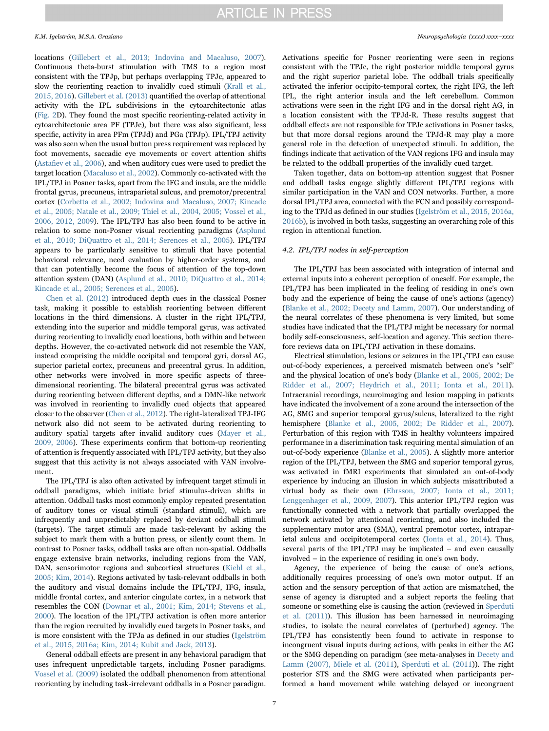locations ([Gillebert et al., 2013; Indovina and Macaluso, 2007\)](#page-11-22). Continuous theta-burst stimulation with TMS to a region most consistent with the TPJp, but perhaps overlapping TPJc, appeared to slow the reorienting reaction to invalidly cued stimuli [\(Krall et al.,](#page-12-10) [2015, 2016\)](#page-12-10). [Gillebert et al. \(2013\)](#page-11-22) quantified the overlap of attentional activity with the IPL subdivisions in the cytoarchitectonic atlas ([Fig. 2](#page-2-0)D). They found the most specific reorienting-related activity in cytoarchitectonic area PF (TPJc), but there was also significant, less specific, activity in area PFm (TPJd) and PGa (TPJp). IPL/TPJ activity was also seen when the usual button press requirement was replaced by foot movements, saccadic eve movements or covert attention shifts (Astafi[ev et al., 2006](#page-10-8)), and when auditory cues were used to predict the target location [\(Macaluso et al., 2002\)](#page-12-11). Commonly co-activated with the IPL/TPJ in Posner tasks, apart from the IFG and insula, are the middle frontal gyrus, precuneus, intraparietal sulcus, and premotor/precentral cortex ([Corbetta et al., 2002; Indovina and Macaluso, 2007; Kincade](#page-11-27) [et al., 2005; Natale et al., 2009; Thiel et al., 2004, 2005; Vossel et al.,](#page-11-27) [2006, 2012, 2009\)](#page-11-27). The IPL/TPJ has also been found to be active in relation to some non-Posner visual reorienting paradigms [\(Asplund](#page-10-9) [et al., 2010; DiQuattro et al., 2014; Serences et al., 2005\)](#page-10-9). IPL/TPJ appears to be particularly sensitive to stimuli that have potential behavioral relevance, need evaluation by higher-order systems, and that can potentially become the focus of attention of the top-down attention system (DAN) ([Asplund et al., 2010; DiQuattro et al., 2014;](#page-10-9) [Kincade et al., 2005; Serences et al., 2005\)](#page-10-9).

[Chen et al. \(2012\)](#page-11-28) introduced depth cues in the classical Posner task, making it possible to establish reorienting between different locations in the third dimensions. A cluster in the right IPL/TPJ, extending into the superior and middle temporal gyrus, was activated during reorienting to invalidly cued locations, both within and between depths. However, the co-activated network did not resemble the VAN, instead comprising the middle occipital and temporal gyri, dorsal AG, superior parietal cortex, precuneus and precentral gyrus. In addition, other networks were involved in more specific aspects of threedimensional reorienting. The bilateral precentral gyrus was activated during reorienting between different depths, and a DMN-like network was involved in reorienting to invalidly cued objects that appeared closer to the observer ([Chen et al., 2012\)](#page-11-28). The right-lateralized TPJ-IFG network also did not seem to be activated during reorienting to auditory spatial targets after invalid auditory cues ([Mayer et al.,](#page-12-12) [2009, 2006](#page-12-12)). These experiments confirm that bottom-up reorienting of attention is frequently associated with IPL/TPJ activity, but they also suggest that this activity is not always associated with VAN involvement.

The IPL/TPJ is also often activated by infrequent target stimuli in oddball paradigms, which initiate brief stimulus-driven shifts in attention. Oddball tasks most commonly employ repeated presentation of auditory tones or visual stimuli (standard stimuli), which are infrequently and unpredictably replaced by deviant oddball stimuli (targets). The target stimuli are made task-relevant by asking the subject to mark them with a button press, or silently count them. In contrast to Posner tasks, oddball tasks are often non-spatial. Oddballs engage extensive brain networks, including regions from the VAN, DAN, sensorimotor regions and subcortical structures ([Kiehl et al.,](#page-12-13) [2005; Kim, 2014](#page-12-13)). Regions activated by task-relevant oddballs in both the auditory and visual domains include the IPL/TPJ, IFG, insula, middle frontal cortex, and anterior cingulate cortex, in a network that resembles the CON [\(Downar et al., 2001; Kim, 2014; Stevens et al.,](#page-11-29) [2000\)](#page-11-29). The location of the IPL/TPJ activation is often more anterior than the region recruited by invalidly cued targets in Posner tasks, and is more consistent with the TPJa as defined in our studies ([Igelström](#page-12-1) [et al., 2015, 2016a; Kim, 2014; Kubit and Jack, 2013\)](#page-12-1).

General oddball effects are present in any behavioral paradigm that uses infrequent unpredictable targets, including Posner paradigms. [Vossel et al. \(2009\)](#page-13-10) isolated the oddball phenomenon from attentional reorienting by including task-irrelevant oddballs in a Posner paradigm.

Activations specific for Posner reorienting were seen in regions consistent with the TPJc, the right posterior middle temporal gyrus and the right superior parietal lobe. The oddball trials specifically activated the inferior occipito-temporal cortex, the right IFG, the left IPL, the right anterior insula and the left cerebellum. Common activations were seen in the right IFG and in the dorsal right AG, in a location consistent with the TPJd-R. These results suggest that oddball effects are not responsible for TPJc activations in Posner tasks, but that more dorsal regions around the TPJd-R may play a more general role in the detection of unexpected stimuli. In addition, the findings indicate that activation of the VAN regions IFG and insula may be related to the oddball properties of the invalidly cued target.

Taken together, data on bottom-up attention suggest that Posner and oddball tasks engage slightly different IPL/TPJ regions with similar participation in the VAN and CON networks. Further, a more dorsal IPL/TPJ area, connected with the FCN and possibly corresponding to the TPJd as defined in our studies ([Igelström et al., 2015, 2016a,](#page-12-1) [2016b\)](#page-12-1), is involved in both tasks, suggesting an overarching role of this region in attentional function.

#### 4.2. IPL/TPJ nodes in self-perception

The IPL/TPJ has been associated with integration of internal and external inputs into a coherent perception of oneself. For example, the IPL/TPJ has been implicated in the feeling of residing in one's own body and the experience of being the cause of one's actions (agency) ([Blanke et al., 2002; Decety and Lamm, 2007\)](#page-11-30). Our understanding of the neural correlates of these phenomena is very limited, but some studies have indicated that the IPL/TPJ might be necessary for normal bodily self-consciousness, self-location and agency. This section therefore reviews data on IPL/TPJ activation in these domains.

Electrical stimulation, lesions or seizures in the IPL/TPJ can cause out-of-body experiences, a perceived mismatch between one's "self" and the physical location of one's body [\(Blanke et al., 2005, 2002; De](#page-10-10) [Ridder et al., 2007; Heydrich et al., 2011; Ionta et al., 2011\)](#page-10-10). Intracranial recordings, neuroimaging and lesion mapping in patients have indicated the involvement of a zone around the intersection of the AG, SMG and superior temporal gyrus/sulcus, lateralized to the right hemisphere [\(Blanke et al., 2005, 2002; De Ridder et al., 2007\)](#page-10-10). Perturbation of this region with TMS in healthy volunteers impaired performance in a discrimination task requiring mental simulation of an out-of-body experience ([Blanke et al., 2005](#page-10-10)). A slightly more anterior region of the IPL/TPJ, between the SMG and superior temporal gyrus, was activated in fMRI experiments that simulated an out-of-body experience by inducing an illusion in which subjects misattributed a virtual body as their own [\(Ehrsson, 2007; Ionta et al., 2011;](#page-11-31) [Lenggenhager et al., 2009, 2007](#page-11-31)). This anterior IPL/TPJ region was functionally connected with a network that partially overlapped the network activated by attentional reorienting, and also included the supplementary motor area (SMA), ventral premotor cortex, intraparietal sulcus and occipitotemporal cortex [\(Ionta et al., 2014\)](#page-12-14). Thus, several parts of the IPL/TPJ may be implicated – and even causally involved – in the experience of residing in one's own body.

Agency, the experience of being the cause of one's actions, additionally requires processing of one's own motor output. If an action and the sensory perception of that action are mismatched, the sense of agency is disrupted and a subject reports the feeling that someone or something else is causing the action (reviewed in [Sperduti](#page-13-11) [et al. \(2011\)](#page-13-11)). This illusion has been harnessed in neuroimaging studies, to isolate the neural correlates of (perturbed) agency. The IPL/TPJ has consistently been found to activate in response to incongruent visual inputs during actions, with peaks in either the AG or the SMG depending on paradigm (see meta-analyses in [Decety and](#page-11-32) [Lamm \(2007\),](#page-11-32) [Miele et al. \(2011\)](#page-12-15), [Sperduti et al. \(2011](#page-13-11))). The right posterior STS and the SMG were activated when participants performed a hand movement while watching delayed or incongruent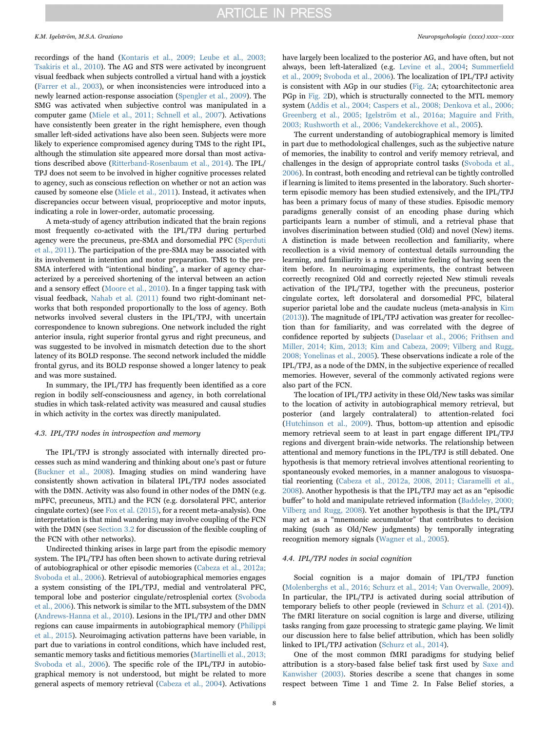recordings of the hand [\(Kontaris et al., 2009; Leube et al., 2003;](#page-12-16) [Tsakiris et al., 2010](#page-12-16)). The AG and STS were activated by incongruent visual feedback when subjects controlled a virtual hand with a joystick ([Farrer et al., 2003\)](#page-11-33), or when inconsistencies were introduced into a newly learned action-response association ([Spengler et al., 2009\)](#page-13-12). The SMG was activated when subjective control was manipulated in a computer game ([Miele et al., 2011; Schnell et al., 2007\)](#page-12-15). Activations have consistently been greater in the right hemisphere, even though smaller left-sided activations have also been seen. Subjects were more likely to experience compromised agency during TMS to the right IPL, although the stimulation site appeared more dorsal than most activations described above [\(Ritterband-Rosenbaum et al., 2014\)](#page-12-17). The IPL/ TPJ does not seem to be involved in higher cognitive processes related to agency, such as conscious reflection on whether or not an action was caused by someone else ([Miele et al., 2011](#page-12-15)). Instead, it activates when discrepancies occur between visual, proprioceptive and motor inputs, indicating a role in lower-order, automatic processing.

A meta-study of agency attribution indicated that the brain regions most frequently co-activated with the IPL/TPJ during perturbed agency were the precuneus, pre-SMA and dorsomedial PFC [\(Sperduti](#page-13-11) [et al., 2011\)](#page-13-11). The participation of the pre-SMA may be associated with its involvement in intention and motor preparation. TMS to the pre-SMA interfered with "intentional binding", a marker of agency characterized by a perceived shortening of the interval between an action and a sensory effect ([Moore et al., 2010](#page-12-18)). In a finger tapping task with visual feedback, [Nahab et al. \(2011\)](#page-12-19) found two right-dominant networks that both responded proportionally to the loss of agency. Both networks involved several clusters in the IPL/TPJ, with uncertain correspondence to known subregions. One network included the right anterior insula, right superior frontal gyrus and right precuneus, and was suggested to be involved in mismatch detection due to the short latency of its BOLD response. The second network included the middle frontal gyrus, and its BOLD response showed a longer latency to peak and was more sustained.

In summary, the IPL/TPJ has frequently been identified as a core region in bodily self-consciousness and agency, in both correlational studies in which task-related activity was measured and causal studies in which activity in the cortex was directly manipulated.

#### 4.3. IPL/TPJ nodes in introspection and memory

The IPL/TPJ is strongly associated with internally directed processes such as mind wandering and thinking about one's past or future ([Buckner et al., 2008](#page-11-16)). Imaging studies on mind wandering have consistently shown activation in bilateral IPL/TPJ nodes associated with the DMN. Activity was also found in other nodes of the DMN (e.g. mPFC, precuneus, MTL) and the FCN (e.g. dorsolateral PFC, anterior cingulate cortex) (see Fox et al.  $(2015)$ , for a recent meta-analysis). One interpretation is that mind wandering may involve coupling of the FCN with the DMN (see [Section 3.2](#page-3-1) for discussion of the flexible coupling of the FCN with other networks).

Undirected thinking arises in large part from the episodic memory system. The IPL/TPJ has often been shown to activate during retrieval of autobiographical or other episodic memories ([Cabeza et al., 2012a;](#page-11-2) [Svoboda et al., 2006](#page-11-2)). Retrieval of autobiographical memories engages a system consisting of the IPL/TPJ, medial and ventrolateral PFC, temporal lobe and posterior cingulate/retrosplenial cortex ([Svoboda](#page-13-13) [et al., 2006\)](#page-13-13). This network is similar to the MTL subsystem of the DMN ([Andrews-Hanna et al., 2010\)](#page-10-5). Lesions in the IPL/TPJ and other DMN regions can cause impairments in autobiographical memory ([Philippi](#page-12-20) et [al., 2015](#page-12-20)). Neuroimaging activation patterns have been variable, in part due to variations in control conditions, which have included rest, semantic memory tasks and fictitious memories [\(Martinelli et al., 2013;](#page-12-21) [Svoboda et al., 2006](#page-12-21)). The specific role of the IPL/TPJ in autobiographical memory is not understood, but might be related to more general aspects of memory retrieval [\(Cabeza et al., 2004](#page-11-35)). Activations have largely been localized to the posterior AG, and have often, but not always, been left-lateralized (e.g. [Levine et al., 2004](#page-12-22); [Summer](#page-13-14)field [et al., 2009;](#page-13-14) [Svoboda et al., 2006\)](#page-13-13). The localization of IPL/TPJ activity is consistent with AGp in our studies ([Fig. 2](#page-2-0)A; cytoarchitectonic area PGp in [Fig. 2](#page-2-0)D), which is structurally connected to the MTL memory system ([Addis et al., 2004; Caspers et al., 2008; Denkova et al., 2006;](#page-10-11) [Greenberg et al., 2005; Igelström et al., 2016a; Maguire and Frith,](#page-10-11) [2003; Rushworth et al., 2006; Vandekerckhove et al., 2005\)](#page-10-11).

The current understanding of autobiographical memory is limited in part due to methodological challenges, such as the subjective nature of memories, the inability to control and verify memory retrieval, and challenges in the design of appropriate control tasks [\(Svoboda et al.,](#page-13-13) [2006\)](#page-13-13). In contrast, both encoding and retrieval can be tightly controlled if learning is limited to items presented in the laboratory. Such shorterterm episodic memory has been studied extensively, and the IPL/TPJ has been a primary focus of many of these studies. Episodic memory paradigms generally consist of an encoding phase during which participants learn a number of stimuli, and a retrieval phase that involves discrimination between studied (Old) and novel (New) items. A distinction is made between recollection and familiarity, where recollection is a vivid memory of contextual details surrounding the learning, and familiarity is a more intuitive feeling of having seen the item before. In neuroimaging experiments, the contrast between correctly recognized Old and correctly rejected New stimuli reveals activation of the IPL/TPJ, together with the precuneus, posterior cingulate cortex, left dorsolateral and dorsomedial PFC, bilateral superior parietal lobe and the caudate nucleus (meta-analysis in [Kim](#page-12-23) [\(2013\)](#page-12-23)). The magnitude of IPL/TPJ activation was greater for recollection than for familiarity, and was correlated with the degree of confidence reported by subjects ([Daselaar et al., 2006; Frithsen and](#page-11-36) [Miller, 2014; Kim, 2013; Kim and Cabeza, 2009; Vilberg and Rugg,](#page-11-36) [2008; Yonelinas et al., 2005](#page-11-36)). These observations indicate a role of the IPL/TPJ, as a node of the DMN, in the subjective experience of recalled memories. However, several of the commonly activated regions were also part of the FCN.

The location of IPL/TPJ activity in these Old/New tasks was similar to the location of activity in autobiographical memory retrieval, but posterior (and largely contralateral) to attention-related foci ([Hutchinson et al., 2009](#page-12-24)). Thus, bottom-up attention and episodic memory retrieval seem to at least in part engage different IPL/TPJ regions and divergent brain-wide networks. The relationship between attentional and memory functions in the IPL/TPJ is still debated. One hypothesis is that memory retrieval involves attentional reorienting to spontaneously evoked memories, in a manner analogous to visuospatial reorienting ([Cabeza et al., 2012a, 2008, 2011; Ciaramelli et al.,](#page-11-2) [2008\)](#page-11-2). Another hypothesis is that the IPL/TPJ may act as an "episodic buffer" to hold and manipulate retrieved information [\(Baddeley, 2000;](#page-10-12) [Vilberg and Rugg, 2008\)](#page-10-12). Yet another hypothesis is that the IPL/TPJ may act as a "mnemonic accumulator" that contributes to decision making (such as Old/New judgments) by temporally integrating recognition memory signals [\(Wagner et al., 2005](#page-13-15)).

### 4.4. IPL/TPJ nodes in social cognition

Social cognition is a major domain of IPL/TPJ function ([Molenberghs et al., 2016; Schurz et al., 2014; Van Overwalle, 2009\)](#page-12-25). In particular, the IPL/TPJ is activated during social attribution of temporary beliefs to other people (reviewed in [Schurz et al. \(2014\)](#page-13-16)). The fMRI literature on social cognition is large and diverse, utilizing tasks ranging from gaze processing to strategic game playing. We limit our discussion here to false belief attribution, which has been solidly linked to IPL/TPJ activation ([Schurz et al., 2014\)](#page-13-16).

One of the most common fMRI paradigms for studying belief attribution is a story-based false belief task first used by [Saxe and](#page-13-17) [Kanwisher \(2003\).](#page-13-17) Stories describe a scene that changes in some respect between Time 1 and Time 2. In False Belief stories, a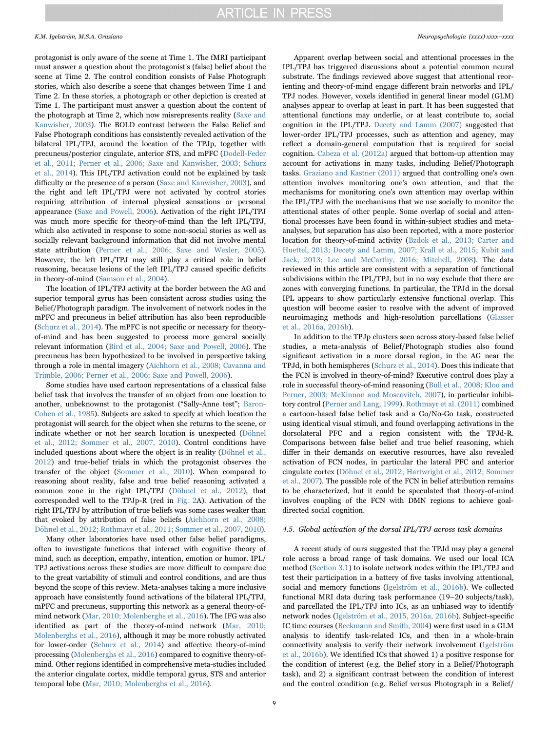protagonist is only aware of the scene at Time 1. The fMRI participant must answer a question about the protagonist's (false) belief about the scene at Time 2. The control condition consists of False Photograph stories, which also describe a scene that changes between Time 1 and Time 2. In these stories, a photograph or other depiction is created at Time 1. The participant must answer a question about the content of the photograph at Time 2, which now misrepresents reality [\(Saxe and](#page-13-17) [Kanwisher, 2003\)](#page-13-17). The BOLD contrast between the False Belief and False Photograph conditions has consistently revealed activation of the bilateral IPL/TPJ, around the location of the TPJp, together with precuneus/posterior cingulate, anterior STS, and mPFC [\(Dodell-Feder](#page-11-37) [et al., 2011; Perner et al., 2006; Saxe and Kanwisher, 2003; Schurz](#page-11-37) [et al., 2014\)](#page-11-37). This IPL/TPJ activation could not be explained by task difficulty or the presence of a person [\(Saxe and Kanwisher, 2003\)](#page-13-17), and the right and left IPL/TPJ were not activated by control stories requiring attribution of internal physical sensations or personal appearance [\(Saxe and Powell, 2006\)](#page-13-18). Activation of the right IPL/TPJ was much more specific for theory-of-mind than the left IPL/TPJ, which also activated in response to some non-social stories as well as socially relevant background information that did not involve mental state attribution [\(Perner et al., 2006; Saxe and Wexler, 2005\)](#page-12-26). However, the left IPL/TPJ may still play a critical role in belief reasoning, because lesions of the left IPL/TPJ caused specific deficits in theory-of-mind [\(Samson et al., 2004](#page-13-19)).

The location of IPL/TPJ activity at the border between the AG and superior temporal gyrus has been consistent across studies using the Belief/Photograph paradigm. The involvement of network nodes in the mPFC and precuneus in belief attribution has also been reproducible ([Schurz et al., 2014\)](#page-13-16). The mPFC is not specific or necessary for theoryof-mind and has been suggested to process more general socially relevant information [\(Bird et al., 2004; Saxe and Powell, 2006\)](#page-10-13). The precuneus has been hypothesized to be involved in perspective taking through a role in mental imagery ([Aichhorn et al., 2008; Cavanna and](#page-10-14) [Trimble, 2006; Perner et al., 2006; Saxe and Powell, 2006\)](#page-10-14).

Some studies have used cartoon representations of a classical false belief task that involves the transfer of an object from one location to another, unbeknownst to the protagonist ("Sally-Anne test"; [Baron-](#page-10-15)[Cohen et al., 1985\)](#page-10-15). Subjects are asked to specify at which location the protagonist will search for the object when she returns to the scene, or indicate whether or not her search location is unexpected ([Döhnel](#page-11-38) [et al., 2012; Sommer et al., 2007, 2010](#page-11-38)). Control conditions have included questions about where the object is in reality [\(Döhnel et al.,](#page-11-38) [2012\)](#page-11-38) and true-belief trials in which the protagonist observes the transfer of the object ([Sommer et al., 2010](#page-13-20)). When compared to reasoning about reality, false and true belief reasoning activated a common zone in the right IPL/TPJ ([Döhnel et al., 2012\)](#page-11-38), that corresponded well to the TPJp-R (red in [Fig. 2](#page-2-0)A). Activation of the right IPL/TPJ by attribution of true beliefs was some cases weaker than that evoked by attribution of false beliefs [\(Aichhorn et al., 2008;](#page-10-14) [Döhnel et al., 2012; Rothmayr et al., 2011; Sommer et al., 2007, 2010\)](#page-10-14).

Many other laboratories have used other false belief paradigms, often to investigate functions that interact with cognitive theory of mind, such as deception, empathy, intention, emotion or humor. IPL/ TPJ activations across these studies are more difficult to compare due to the great variability of stimuli and control conditions, and are thus beyond the scope of this review. Meta-analyses taking a more inclusive approach have consistently found activations of the bilateral IPL/TPJ, mPFC and precuneus, supporting this network as a general theory-ofmind network [\(Mar, 2010; Molenberghs et al., 2016](#page-12-27)). The IFG was also identified as part of the theory-of-mind network ([Mar, 2010;](#page-12-27) [Molenberghs et al., 2016\)](#page-12-27), although it may be more robustly activated for lower-order ([Schurz et al., 2014\)](#page-13-16) and affective theory-of-mind processing [\(Molenberghs et al., 2016\)](#page-12-25) compared to cognitive theory-ofmind. Other regions identified in comprehensive meta-studies included the anterior cingulate cortex, middle temporal gyrus, STS and anterior temporal lobe ([Mar, 2010; Molenberghs et al., 2016\)](#page-12-27).

Apparent overlap between social and attentional processes in the IPL/TPJ has triggered discussions about a potential common neural substrate. The findings reviewed above suggest that attentional reorienting and theory-of-mind engage different brain networks and IPL/ TPJ nodes. However, voxels identified in general linear model (GLM) analyses appear to overlap at least in part. It has been suggested that attentional functions may underlie, or at least contribute to, social cognition in the IPL/TPJ. [Decety and Lamm \(2007\)](#page-11-32) suggested that lower-order IPL/TPJ processes, such as attention and agency, may reflect a domain-general computation that is required for social cognition. [Cabeza et al. \(2012a\)](#page-11-2) argued that bottom-up attention may account for activations in many tasks, including Belief/Photograph tasks. [Graziano and Kastner \(2011\)](#page-11-39) argued that controlling one's own attention involves monitoring one's own attention, and that the mechanisms for monitoring one's own attention may overlap within the IPL/TPJ with the mechanisms that we use socially to monitor the attentional states of other people. Some overlap of social and attentional processes have been found in within-subject studies and metaanalyses, but separation has also been reported, with a more posterior location for theory-of-mind activity [\(Bzdok et al., 2013; Carter and](#page-11-8) [Huettel, 2013; Decety and Lamm, 2007; Krall et al., 2015; Kubit and](#page-11-8) [Jack, 2013; Lee and McCarthy, 2016; Mitchell, 2008](#page-11-8)). The data reviewed in this article are consistent with a separation of functional subdivisions within the IPL/TPJ, but in no way exclude that there are zones with converging functions. In particular, the TPJd in the dorsal IPL appears to show particularly extensive functional overlap. This question will become easier to resolve with the advent of improved neuroimaging methods and high-resolution parcellations ([Glasser](#page-11-25) [et al., 2016a, 2016b](#page-11-25)).

In addition to the TPJp clusters seen across story-based false belief studies, a meta-analysis of Belief/Photograph studies also found significant activation in a more dorsal region, in the AG near the TPJd, in both hemispheres [\(Schurz et al., 2014\)](#page-13-16). Does this indicate that the FCN is involved in theory-of-mind? Executive control does play a role in successful theory-of-mind reasoning [\(Bull et al., 2008; Kloo and](#page-11-40) [Perner, 2003; McKinnon and Moscovitch, 2007](#page-11-40)), in particular inhibitory control ([Perner and Lang, 1999\)](#page-12-28). [Rothmayr et al. \(2011\)](#page-12-29) combined a cartoon-based false belief task and a Go/No-Go task, constructed using identical visual stimuli, and found overlapping activations in the dorsolateral PFC and a region consistent with the TPJd-R. Comparisons between false belief and true belief reasoning, which differ in their demands on executive resources, have also revealed activation of FCN nodes, in particular the lateral PFC and anterior cingulate cortex [\(Döhnel et al., 2012; Hartwright et al., 2012; Sommer](#page-11-38) [et al., 2007](#page-11-38)). The possible role of the FCN in belief attribution remains to be characterized, but it could be speculated that theory-of-mind involves coupling of the FCN with DMN regions to achieve goaldirected social cognition.

### <span id="page-8-0"></span>4.5. Global activation of the dorsal IPL/TPJ across task domains

A recent study of ours suggested that the TPJd may play a general role across a broad range of task domains. We used our local ICA method [\(Section 3.1\)](#page-1-1) to isolate network nodes within the IPL/TPJ and test their participation in a battery of five tasks involving attentional, social and memory functions ([Igelström et al., 2016b\)](#page-12-30). We collected functional MRI data during task performance (19–20 subjects/task), and parcellated the IPL/TPJ into ICs, as an unbiased way to identify network nodes [\(Igelström et al., 2015, 2016a, 2016b\)](#page-12-1). Subject-specific IC time courses ([Beckmann and Smith, 2004](#page-10-16)) were first used in a GLM analysis to identify task-related ICs, and then in a whole-brain connectivity analysis to verify their network involvement ([Igelström](#page-12-30) [et al., 2016b\)](#page-12-30). We identified ICs that showed 1) a positive response for the condition of interest (e.g. the Belief story in a Belief/Photograph task), and 2) a significant contrast between the condition of interest and the control condition (e.g. Belief versus Photograph in a Belief/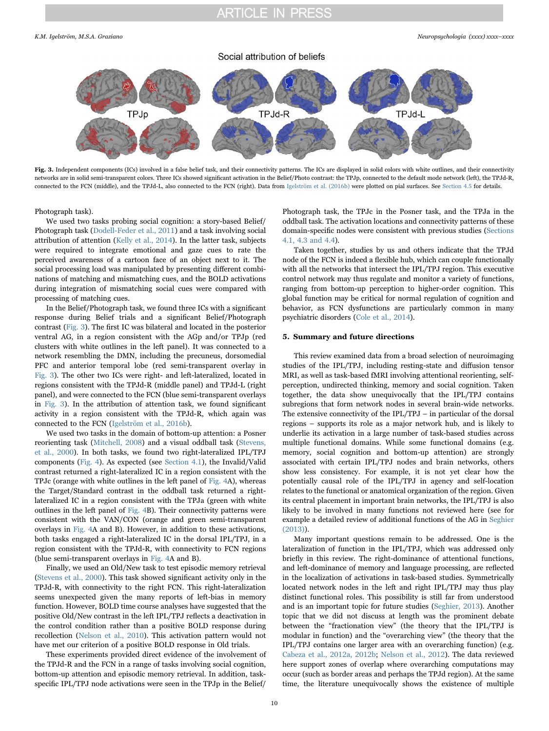<span id="page-9-0"></span>K.M. Igelström, M.S.A. Graziano *Neuropsychologia (xxxx) xxxx–xxxx*



Fig. 3. Independent components (ICs) involved in a false belief task, and their connectivity patterns. The ICs are displayed in solid colors with white outlines, and their connectivity networks are in solid semi-transparent colors. Three ICs showed significant activation in the Belief/Photo contrast: the TPJp, connected to the default mode network (left), the TPJd-R, connected to the FCN (middle), and the TPJd-L, also connected to the FCN (right). Data from [Igelström et al. \(2016b\)](#page-12-30) were plotted on pial surfaces. See [Section 4.5](#page-8-0) for details.

Photograph task).

We used two tasks probing social cognition: a story-based Belief/ Photograph task [\(Dodell-Feder et al., 2011\)](#page-11-37) and a task involving social attribution of attention ([Kelly et al., 2014](#page-12-31)). In the latter task, subjects were required to integrate emotional and gaze cues to rate the perceived awareness of a cartoon face of an object next to it. The social processing load was manipulated by presenting different combinations of matching and mismatching cues, and the BOLD activations during integration of mismatching social cues were compared with processing of matching cues.

In the Belief/Photograph task, we found three ICs with a significant response during Belief trials and a significant Belief/Photograph contrast ([Fig. 3](#page-9-0)). The first IC was bilateral and located in the posterior ventral AG, in a region consistent with the AGp and/or TPJp (red clusters with white outlines in the left panel). It was connected to a network resembling the DMN, including the precuneus, dorsomedial PFC and anterior temporal lobe (red semi-transparent overlay in [Fig. 3\)](#page-9-0). The other two ICs were right- and left-lateralized, located in regions consistent with the TPJd-R (middle panel) and TPJd-L (right panel), and were connected to the FCN (blue semi-transparent overlays in [Fig. 3\)](#page-9-0). In the attribution of attention task, we found significant activity in a region consistent with the TPJd-R, which again was connected to the FCN [\(Igelström et al., 2016b](#page-12-30)).

We used two tasks in the domain of bottom-up attention: a Posner reorienting task [\(Mitchell, 2008](#page-12-32)) and a visual oddball task [\(Stevens,](#page-13-21) [et al., 2000\)](#page-13-21). In both tasks, we found two right-lateralized IPL/TPJ components ([Fig. 4\)](#page-10-17). As expected (see [Section 4.1](#page-5-0)), the Invalid/Valid contrast returned a right-lateralized IC in a region consistent with the TPJc (orange with white outlines in the left panel of [Fig. 4A](#page-10-17)), whereas the Target/Standard contrast in the oddball task returned a rightlateralized IC in a region consistent with the TPJa (green with white outlines in the left panel of [Fig. 4](#page-10-17)B). Their connectivity patterns were consistent with the VAN/CON (orange and green semi-transparent overlays in [Fig. 4](#page-10-17)A and B). However, in addition to these activations, both tasks engaged a right-lateralized IC in the dorsal IPL/TPJ, in a region consistent with the TPJd-R, with connectivity to FCN regions (blue semi-transparent overlays in [Fig. 4A](#page-10-17) and B).

Finally, we used an Old/New task to test episodic memory retrieval ([Stevens et al., 2000\)](#page-13-21). This task showed significant activity only in the TPJd-R, with connectivity to the right FCN. This right-lateralization seems unexpected given the many reports of left-bias in memory function. However, BOLD time course analyses have suggested that the positive Old/New contrast in the left IPL/TPJ reflects a deactivation in the control condition rather than a positive BOLD response during recollection [\(Nelson et al., 2010](#page-12-33)). This activation pattern would not have met our criterion of a positive BOLD response in Old trials.

These experiments provided direct evidence of the involvement of the TPJd-R and the FCN in a range of tasks involving social cognition, bottom-up attention and episodic memory retrieval. In addition, taskspecific IPL/TPJ node activations were seen in the TPJp in the Belief/

Photograph task, the TPJc in the Posner task, and the TPJa in the oddball task. The activation locations and connectivity patterns of these domain-specific nodes were consistent with previous studies [\(Sections](#page-5-0) 4.1, [4.3 and 4.4](#page-5-0)).

Taken together, studies by us and others indicate that the TPJd node of the FCN is indeed a flexible hub, which can couple functionally with all the networks that intersect the IPL/TPJ region. This executive control network may thus regulate and monitor a variety of functions, ranging from bottom-up perception to higher-order cognition. This global function may be critical for normal regulation of cognition and behavior, as FCN dysfunctions are particularly common in many psychiatric disorders [\(Cole et al., 2014](#page-11-14)).

#### 5. Summary and future directions

This review examined data from a broad selection of neuroimaging studies of the IPL/TPJ, including resting-state and diffusion tensor MRI, as well as task-based fMRI involving attentional reorienting, selfperception, undirected thinking, memory and social cognition. Taken together, the data show unequivocally that the IPL/TPJ contains subregions that form network nodes in several brain-wide networks. The extensive connectivity of the IPL/TPJ – in particular of the dorsal regions – supports its role as a major network hub, and is likely to underlie its activation in a large number of task-based studies across multiple functional domains. While some functional domains (e.g. memory, social cognition and bottom-up attention) are strongly associated with certain IPL/TPJ nodes and brain networks, others show less consistency. For example, it is not yet clear how the potentially causal role of the IPL/TPJ in agency and self-location relates to the functional or anatomical organization of the region. Given its central placement in important brain networks, the IPL/TPJ is also likely to be involved in many functions not reviewed here (see for example a detailed review of additional functions of the AG in [Seghier](#page-13-2) [\(2013\)\)](#page-13-2).

Many important questions remain to be addressed. One is the lateralization of function in the IPL/TPJ, which was addressed only briefly in this review. The right-dominance of attentional functions, and left-dominance of memory and language processing, are reflected in the localization of activations in task-based studies. Symmetrically located network nodes in the left and right IPL/TPJ may thus play distinct functional roles. This possibility is still far from understood and is an important topic for future studies [\(Seghier, 2013\)](#page-13-2). Another topic that we did not discuss at length was the prominent debate between the "fractionation view" (the theory that the IPL/TPJ is modular in function) and the "overarching view" (the theory that the IPL/TPJ contains one larger area with an overarching function) (e.g. [Cabeza et al., 2012a, 2012b;](#page-11-2) [Nelson et al., 2012\)](#page-12-34). The data reviewed here support zones of overlap where overarching computations may occur (such as border areas and perhaps the TPJd region). At the same time, the literature unequivocally shows the existence of multiple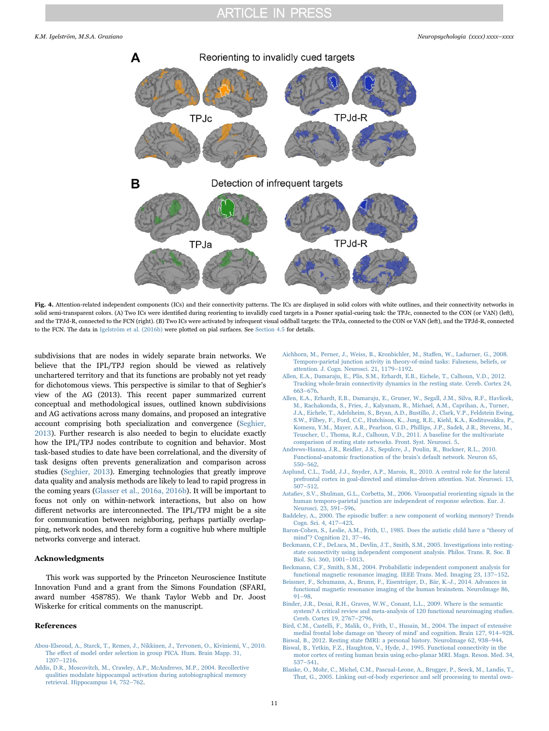<span id="page-10-17"></span>

Fig. 4. Attention-related independent components (ICs) and their connectivity patterns. The ICs are displayed in solid colors with white outlines, and their connectivity networks in solid semi-transparent colors. (A) Two ICs were identified during reorienting to invalidly cued targets in a Posner spatial-cueing task: the TPJc, connected to the CON (or VAN) (left), and the TPJd-R, connected to the FCN (right). (B) Two ICs were activated by infrequent visual oddball targets: the TPJa, connected to the CON or VAN (left), and the TPJd-R, connected to the FCN. The data in [Igelström et al. \(2016b\)](#page-12-30) were plotted on pial surfaces. See [Section 4.5](#page-8-0) for details.

subdivisions that are nodes in widely separate brain networks. We believe that the IPL/TPJ region should be viewed as relatively unchartered territory and that its functions are probably not yet ready for dichotomous views. This perspective is similar to that of Seghier's view of the AG (2013). This recent paper summarized current conceptual and methodological issues, outlined known subdivisions and AG activations across many domains, and proposed an integrative account comprising both specialization and convergence [\(Seghier,](#page-13-2) [2013\)](#page-13-2). Further research is also needed to begin to elucidate exactly how the IPL/TPJ nodes contribute to cognition and behavior. Most task-based studies to date have been correlational, and the diversity of task designs often prevents generalization and comparison across studies [\(Seghier, 2013](#page-13-2)). Emerging technologies that greatly improve data quality and analysis methods are likely to lead to rapid progress in the coming years [\(Glasser et al., 2016a, 2016b](#page-11-25)). It will be important to focus not only on within-network interactions, but also on how different networks are interconnected. The IPL/TPJ might be a site for communication between neighboring, perhaps partially overlapping, network nodes, and thereby form a cognitive hub where multiple networks converge and interact.

### Acknowledgments

This work was supported by the Princeton Neuroscience Institute Innovation Fund and a grant from the Simons Foundation (SFARI, award number 458785). We thank Taylor Webb and Dr. Joost Wiskerke for critical comments on the manuscript.

#### References

- <span id="page-10-3"></span>[Abou-Elseoud, A., Starck, T., Remes, J., Nikkinen, J., Tervonen, O., Kiviniemi, V., 2010.](http://refhub.elsevier.com/S0028-17)30001-sbref1) The eff[ect of model order selection in group PICA. Hum. Brain Mapp. 31,](http://refhub.elsevier.com/S0028-17)30001-sbref1) 1207–[1216](http://refhub.elsevier.com/S0028-17)30001-sbref1).
- <span id="page-10-11"></span>[Addis, D.R., Moscovitch, M., Crawley, A.P., McAndrews, M.P., 2004. Recollective](http://refhub.elsevier.com/S0028-17)30001-sbref2) [qualities modulate hippocampal activation during autobiographical memory](http://refhub.elsevier.com/S0028-17)30001-sbref2) [retrieval. Hippocampus 14, 752](http://refhub.elsevier.com/S0028-17)30001-sbref2)–762.
- <span id="page-10-14"></span>[Aichhorn, M., Perner, J., Weiss, B., Kronbichler, M., Sta](http://refhub.elsevier.com/S0028-17)30001-sbref3)ffen, W., Ladurner, G., 2008. [Temporo-parietal junction activity in theory-of-mind tasks: Falseness, beliefs, or](http://refhub.elsevier.com/S0028-17)30001-sbref3) [attention. J. Cogn. Neurosci. 21, 1179](http://refhub.elsevier.com/S0028-17)30001-sbref3)–1192.
- <span id="page-10-6"></span>[Allen, E.A., Damaraju, E., Plis, S.M., Erhardt, E.B., Eichele, T., Calhoun, V.D., 2012.](http://refhub.elsevier.com/S0028-17)30001-sbref4) [Tracking whole-brain connectivity dynamics in the resting state. Cereb. Cortex 24,](http://refhub.elsevier.com/S0028-17)30001-sbref4) 663–[676](http://refhub.elsevier.com/S0028-17)30001-sbref4).
- <span id="page-10-4"></span>[Allen, E.A., Erhardt, E.B., Damaraju, E., Gruner, W., Segall, J.M., Silva, R.F., Havlicek,](http://refhub.elsevier.com/S0028-17)30001-sbref5) [M., Rachakonda, S., Fries, J., Kalyanam, R., Michael, A.M., Caprihan, A., Turner,](http://refhub.elsevier.com/S0028-17)30001-sbref5) [J.A., Eichele, T., Adelsheim, S., Bryan, A.D., Bustillo, J., Clark, V.P., Feldstein Ewing,](http://refhub.elsevier.com/S0028-17)30001-sbref5) [S.W., Filbey, F., Ford, C.C., Hutchison, K., Jung, R.E., Kiehl, K.A., Kodituwakku, P.,](http://refhub.elsevier.com/S0028-17)30001-sbref5) [Komesu, Y.M., Mayer, A.R., Pearlson, G.D., Phillips, J.P., Sadek, J.R., Stevens, M.,](http://refhub.elsevier.com/S0028-17)30001-sbref5) [Teuscher, U., Thoma, R.J., Calhoun, V.D., 2011. A baseline for the multivariate](http://refhub.elsevier.com/S0028-17)30001-sbref5) [comparison of resting state networks. Front. Syst. Neurosci. 5](http://refhub.elsevier.com/S0028-17)30001-sbref5).
- <span id="page-10-5"></span>[Andrews-Hanna, J.R., Reidler, J.S., Sepulcre, J., Poulin, R., Buckner, R.L., 2010.](http://refhub.elsevier.com/S0028-17)30001-sbref6) [Functional-anatomic fractionation of the brain's default network. Neuron 65,](http://refhub.elsevier.com/S0028-17)30001-sbref6) 550–[562](http://refhub.elsevier.com/S0028-17)30001-sbref6).
- <span id="page-10-9"></span>[Asplund, C.L., Todd, J.J., Snyder, A.P., Marois, R., 2010. A central role for the lateral](http://refhub.elsevier.com/S0028-17)30001-sbref7) [prefrontal cortex in goal-directed and stimulus-driven attention. Nat. Neurosci. 13,](http://refhub.elsevier.com/S0028-17)30001-sbref7) 507–[512](http://refhub.elsevier.com/S0028-17)30001-sbref7).
- <span id="page-10-8"></span>Astafi[ev, S.V., Shulman, G.L., Corbetta, M., 2006. Visuospatial reorienting signals in the](http://refhub.elsevier.com/S0028-17)30001-sbref8) [human temporo-parietal junction are independent of response selection. Eur. J.](http://refhub.elsevier.com/S0028-17)30001-sbref8) [Neurosci. 23, 591](http://refhub.elsevier.com/S0028-17)30001-sbref8)–596.
- <span id="page-10-12"></span>Baddeley, A., 2000. The episodic buff[er: a new component of working memory? Trends](http://refhub.elsevier.com/S0028-17)30001-sbref9) [Cogn. Sci. 4, 417](http://refhub.elsevier.com/S0028-17)30001-sbref9)–423.
- <span id="page-10-15"></span>[Baron-Cohen, S., Leslie, A.M., Frith, U., 1985. Does the autistic child have a](http://refhub.elsevier.com/S0028-17)30001-sbref10) "theory of mind"[? Cognition 21, 37](http://refhub.elsevier.com/S0028-17)30001-sbref10)–46.
- <span id="page-10-1"></span>[Beckmann, C.F., DeLuca, M., Devlin, J.T., Smith, S.M., 2005. Investigations into resting](http://refhub.elsevier.com/S0028-17)30001-sbref11)[state connectivity using independent component analysis. Philos. Trans. R. Soc. B](http://refhub.elsevier.com/S0028-17)30001-sbref11) [Biol. Sci. 360, 1001](http://refhub.elsevier.com/S0028-17)30001-sbref11)–1013.
- <span id="page-10-16"></span>[Beckmann, C.F., Smith, S.M., 2004. Probabilistic independent component analysis for](http://refhub.elsevier.com/S0028-17)30001-sbref12) [functional magnetic resonance imaging. IEEE Trans. Med. Imaging 23, 137](http://refhub.elsevier.com/S0028-17)30001-sbref12)–152.
- <span id="page-10-2"></span>[Beissner, F., Schumann, A., Brunn, F., Eisenträger, D., Bär, K.-J., 2014. Advances in](http://refhub.elsevier.com/S0028-17)30001-sbref13) [functional magnetic resonance imaging of the human brainstem. NeuroImage 86,](http://refhub.elsevier.com/S0028-17)30001-sbref13) 91–[98](http://refhub.elsevier.com/S0028-17)30001-sbref13).
- <span id="page-10-7"></span>[Binder, J.R., Desai, R.H., Graves, W.W., Conant, L.L., 2009. Where is the semantic](http://refhub.elsevier.com/S0028-17)30001-sbref14) [system? A critical review and meta-analysis of 120 functional neuroimaging studies.](http://refhub.elsevier.com/S0028-17)30001-sbref14) [Cereb. Cortex 19, 2767](http://refhub.elsevier.com/S0028-17)30001-sbref14)–2796.
- <span id="page-10-13"></span>[Bird, C.M., Castelli, F., Malik, O., Frith, U., Husain, M., 2004. The impact of extensive](http://refhub.elsevier.com/S0028-17)30001-sbref15) [medial frontal lobe damage on](http://refhub.elsevier.com/S0028-17)30001-sbref15) 'theory of mind' and cognition. Brain 127, 914–928.
- <span id="page-10-0"></span>Biswal, [B., 2012. Resting state fMRI: a personal history. NeuroImage 62, 938](http://refhub.elsevier.com/S0028-17)30001-sbref16)–944.
- [Biswal, B., Yetkin, F.Z., Haughton, V., Hyde, J., 1995. Functional connectivity in the](http://refhub.elsevier.com/S0028-17)30001-sbref17) [motor cortex of resting human brain using echo-planar MRI. Magn. Reson. Med. 34,](http://refhub.elsevier.com/S0028-17)30001-sbref17) 537–[541](http://refhub.elsevier.com/S0028-17)30001-sbref17).
- <span id="page-10-10"></span>[Blanke, O., Mohr, C., Michel, C.M., Pascual-Leone, A., Brugger, P., Seeck, M., Landis, T.,](http://refhub.elsevier.com/S0028-17)30001-sbref18) [Thut, G., 2005. Linking out-of-body experience and self processing to mental own-](http://refhub.elsevier.com/S0028-17)30001-sbref18)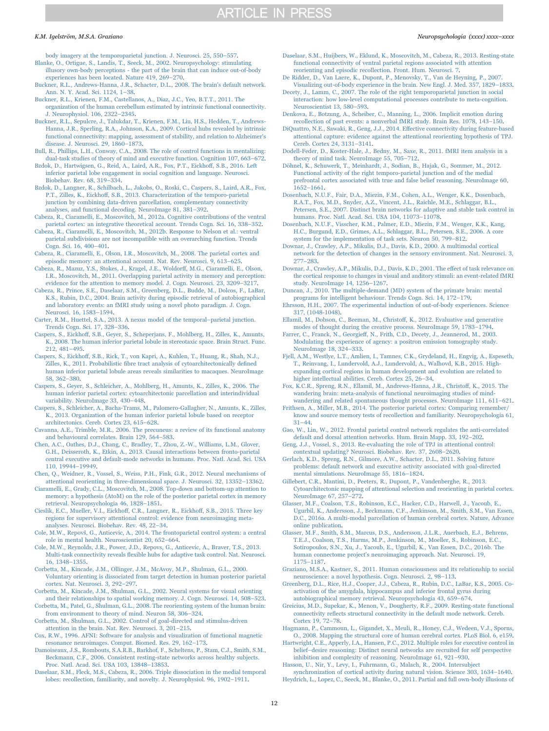[body imagery at the temporoparietal junction. J. Neurosci. 25, 550](http://refhub.elsevier.com/S0028-17)30001-sbref18)–557.

- <span id="page-11-30"></span>[Blanke, O., Ortigue, S., Landis, T., Seeck, M., 2002. Neuropsychology: stimulating](http://refhub.elsevier.com/S0028-17)30001-sbref19) [illusory own-body perceptions - the part of the brain that can induce out-of-body](http://refhub.elsevier.com/S0028-17)30001-sbref19) [experiences has been located. Nature 419, 269](http://refhub.elsevier.com/S0028-17)30001-sbref19)–270.
- <span id="page-11-16"></span>[Buckner, R.L., Andrews-Hanna, J.R., Schacter, D.L., 2008. The brain's default network.](http://refhub.elsevier.com/S0028-17)30001-sbref20) [Ann. N. Y. Acad. Sci. 1124, 1](http://refhub.elsevier.com/S0028-17)30001-sbref20)–38.
- [Buckner, R.L., Krienen, F.M., Castellanos, A., Diaz, J.C., Yeo, B.T.T., 2011. The](http://refhub.elsevier.com/S0028-17)30001-sbref21) [organization of the human cerebellum estimated by intrinsic functional connectivity.](http://refhub.elsevier.com/S0028-17)30001-sbref21)
- <span id="page-11-0"></span>[J. Neurophysiol. 106, 2322](http://refhub.elsevier.com/S0028-17)30001-sbref21)–2345. [Buckner, R.L., Sepulcre, J., Talukdar, T., Krienen, F.M., Liu, H.S., Hedden, T., Andrews-](http://refhub.elsevier.com/S0028-17)30001-sbref22)[Hanna, J.R., Sperling, R.A., Johnson, K.A., 2009. Cortical hubs revealed by intrinsic](http://refhub.elsevier.com/S0028-17)30001-sbref22) [functional connectivity: mapping, assessment of stability, and relation to Alzheimer's](http://refhub.elsevier.com/S0028-17)30001-sbref22) [disease. J. Neurosci. 29, 1860](http://refhub.elsevier.com/S0028-17)30001-sbref22)–1873.
- <span id="page-11-40"></span>[Bull, R., Phillips, L.H., Conway, C.A., 2008. The role of control functions in mentalizing:](http://refhub.elsevier.com/S0028-17)30001-sbref23) [dual-task studies of theory of mind and executive function. Cognition 107, 663](http://refhub.elsevier.com/S0028-17)30001-sbref23)–672.
- <span id="page-11-4"></span>[Bzdok, D., Hartwigsen, G., Reid, A., Laird, A.R., Fox, P.T., Eickho](http://refhub.elsevier.com/S0028-17)30001-sbref24)ff, S.B., 2016. Left [inferior parietal lobe engagement in social cognition and language. Neurosci.](http://refhub.elsevier.com/S0028-17)30001-sbref24) [Biobehav. Rev. 68, 319](http://refhub.elsevier.com/S0028-17)30001-sbref24)–334.
- <span id="page-11-8"></span>[Bzdok, D., Langner, R., Schilbach, L., Jakobs, O., Roski, C., Caspers, S., Laird, A.R., Fox,](http://refhub.elsevier.com/S0028-17)30001-sbref25) P.T., Zilles, K., Eickhoff[, S.B., 2013. Characterization of the temporo-parietal](http://refhub.elsevier.com/S0028-17)30001-sbref25) [junction by combining data-driven parcellation, complementary connectivity](http://refhub.elsevier.com/S0028-17)30001-sbref25) [analyses, and functional decoding. NeuroImage 81, 381](http://refhub.elsevier.com/S0028-17)30001-sbref25)–392.
- <span id="page-11-2"></span>[Cabeza, R., Ciaramelli, E., Moscovitch, M., 2012a. Cognitive contributions of the ventral](http://refhub.elsevier.com/S0028-17)30001-sbref26) [parietal cortex: an integrative theoretical account. Trends Cogn. Sci. 16, 338](http://refhub.elsevier.com/S0028-17)30001-sbref26)–352.
- [Cabeza, R., Ciaramelli, E., Moscovitch, M., 2012b. Response to Nelson et al.: ventral](http://refhub.elsevier.com/S0028-17)30001-sbref27) [parietal subdivisions are not incompatible with an overarching function. Trends](http://refhub.elsevier.com/S0028-17)30001-sbref27) [Cogn. Sci. 16, 400](http://refhub.elsevier.com/S0028-17)30001-sbref27)–401.
- [Cabeza, R., Ciaramelli, E., Olson, I.R., Moscovitch, M., 2008. The parietal cortex and](http://refhub.elsevier.com/S0028-17)30001-sbref28) [episodic memory: an attentional account. Nat. Rev. Neurosci. 9, 613](http://refhub.elsevier.com/S0028-17)30001-sbref28)–625.
- [Cabeza, R., Mazuz, Y.S., Stokes, J., Kragel, J.E., Woldor](http://refhub.elsevier.com/S0028-17)30001-sbref29)ff, M.G., Ciaramelli, E., Olson, [I.R., Moscovitch, M., 2011. Overlapping parietal activity in memory and perception:](http://refhub.elsevier.com/S0028-17)30001-sbref29) [evidence for the attention to memory model. J. Cogn. Neurosci. 23, 3209](http://refhub.elsevier.com/S0028-17)30001-sbref29)–3217.
- <span id="page-11-35"></span>[Cabeza, R., Prince, S.E., Daselaar, S.M., Greenberg, D.L., Budde, M., Dolcos, F., LaBar,](http://refhub.elsevier.com/S0028-17)30001-sbref30) [K.S., Rubin, D.C., 2004. Brain activity during episodic retrieval of autobiographical](http://refhub.elsevier.com/S0028-17)30001-sbref30) [and laboratory events: an fMRI study using a novel photo paradigm. J. Cogn.](http://refhub.elsevier.com/S0028-17)30001-sbref30) [Neurosci. 16, 1583](http://refhub.elsevier.com/S0028-17)30001-sbref30)–1594.
- [Carter, R.M., Huettel, S.A., 2013. A nexus model of the temporal](http://refhub.elsevier.com/S0028-17)30001-sbref31)–parietal junction. [Trends Cogn. Sci. 17, 328](http://refhub.elsevier.com/S0028-17)30001-sbref31)–336.
- <span id="page-11-9"></span>Caspers, S., Eickhoff[, S.B., Geyer, S., Scheperjans, F., Mohlberg, H., Zilles, K., Amunts,](http://refhub.elsevier.com/S0028-17)30001-sbref32) [K., 2008. The human inferior parietal lobule in stereotaxic space. Brain Struct. Func.](http://refhub.elsevier.com/S0028-17)30001-sbref32) [212, 481](http://refhub.elsevier.com/S0028-17)30001-sbref32)–495.
- <span id="page-11-24"></span>Caspers, S., Eickhoff[, S.B., Rick, T., von Kapri, A., Kuhlen, T., Huang, R., Shah, N.J.,](http://refhub.elsevier.com/S0028-17)30001-sbref33) Zilles, K., 2011. Probabilistic fi[bre tract analysis of cytoarchitectonically de](http://refhub.elsevier.com/S0028-17)30001-sbref33)fined human [inferior parietal lobule areas reveals similarities to macaques. NeuroImage](http://refhub.elsevier.com/S0028-17)30001-sbref33) [58, 362](http://refhub.elsevier.com/S0028-17)30001-sbref33)–380.
- <span id="page-11-21"></span>[Caspers, S., Geyer, S., Schleicher, A., Mohlberg, H., Amunts, K., Zilles, K., 2006. The](http://refhub.elsevier.com/S0028-17)30001-sbref34) [human inferior parietal cortex: cytoarchitectonic parcellation and interindividual](http://refhub.elsevier.com/S0028-17)30001-sbref34) [variability. NeuroImage 33, 430](http://refhub.elsevier.com/S0028-17)30001-sbref34)–448.
- <span id="page-11-23"></span>[Caspers, S., Schleicher, A., Bacha-Trams, M., Palomero-Gallagher, N., Amunts, K., Zilles,](http://refhub.elsevier.com/S0028-17)30001-sbref35) [K., 2013. Organization of the human inferior parietal lobule based on receptor](http://refhub.elsevier.com/S0028-17)30001-sbref35) [architectonics. Cereb. Cortex 23, 615](http://refhub.elsevier.com/S0028-17)30001-sbref35)–628.
- [Cavanna, A.E., Trimble, M.R., 2006. The precuneus: a review of its functional anatomy](http://refhub.elsevier.com/S0028-17)30001-sbref36) [and behavioural correlates. Brain 129, 564](http://refhub.elsevier.com/S0028-17)30001-sbref36)–583.
- <span id="page-11-12"></span>[Chen, A.C., Oathes, D.J., Chang, C., Bradley, T., Zhou, Z.-W., Williams, L.M., Glover,](http://refhub.elsevier.com/S0028-17)30001-sbref37) [G.H., Deisseroth, K., Etkin, A., 2013. Causal interactions between fronto-parietal](http://refhub.elsevier.com/S0028-17)30001-sbref37) [central executive and default-mode networks in humans. Proc. Natl. Acad. Sci. USA](http://refhub.elsevier.com/S0028-17)30001-sbref37) [110, 19944](http://refhub.elsevier.com/S0028-17)30001-sbref37)–19949.
- <span id="page-11-28"></span>[Chen, Q., Weidner, R., Vossel, S., Weiss, P.H., Fink, G.R., 2012. Neural mechanisms of](http://refhub.elsevier.com/S0028-17)30001-sbref38) [attentional reorienting in three-dimensional space. J. Neurosci. 32, 13352](http://refhub.elsevier.com/S0028-17)30001-sbref38)–13362.
- [Ciaramelli, E., Grady, C.L., Moscovitch, M., 2008. Top-down and bottom-up attention to](http://refhub.elsevier.com/S0028-17)30001-sbref39) [memory: a hypothesis \(AtoM\) on the role of the posterior parietal cortex in memory](http://refhub.elsevier.com/S0028-17)30001-sbref39) [retrieval. Neuropsychologia 46, 1828](http://refhub.elsevier.com/S0028-17)30001-sbref39)–1851.
- <span id="page-11-15"></span>[Cieslik, E.C., Mueller, V.I., Eickho](http://refhub.elsevier.com/S0028-17)30001-sbref40)ff, C.R., Langner, R., Eickhoff, S.B., 2015. Three key [regions for supervisory attentional control: evidence from neuroimaging meta](http://refhub.elsevier.com/S0028-17)30001-sbref40)[analyses. Neurosci. Biobehav. Rev. 48, 22](http://refhub.elsevier.com/S0028-17)30001-sbref40)–34.
- <span id="page-11-14"></span>Cole, M.W., Repovš[, G., Anticevic, A., 2014. The frontoparietal control system: a central](http://refhub.elsevier.com/S0028-17)30001-sbref41) [role in mental health. Neuroscientist 20, 652](http://refhub.elsevier.com/S0028-17)30001-sbref41)–664.
- <span id="page-11-20"></span>[Cole, M.W., Reynolds, J.R., Power, J.D., Repovs, G., Anticevic, A., Braver, T.S., 2013.](http://refhub.elsevier.com/S0028-17)30001-sbref42) Multi-task connectivity reveals fl[exible hubs for adaptive task control. Nat. Neurosci.](http://refhub.elsevier.com/S0028-17)30001-sbref42) [16, 1348](http://refhub.elsevier.com/S0028-17)30001-sbref42)–1355.
- <span id="page-11-26"></span>[Corbetta, M., Kincade, J.M., Ollinger, J.M., McAvoy, M.P., Shulman, G.L., 2000.](http://refhub.elsevier.com/S0028-17)30001-sbref43) [Voluntary orienting is dissociated from target detection in human posterior parietal](http://refhub.elsevier.com/S0028-17)30001-sbref43) [cortex. Nat. Neurosci. 3, 292](http://refhub.elsevier.com/S0028-17)30001-sbref43)–297.
- <span id="page-11-27"></span>[Corbetta, M., Kincade, J.M., Shulman, G.L., 2002. Neural systems for visual orienting](http://refhub.elsevier.com/S0028-17)30001-sbref44) [and their relationships to spatial working memory. J. Cogn. Neurosci. 14, 508](http://refhub.elsevier.com/S0028-17)30001-sbref44)–523. [Corbetta, M., Patel, G., Shulman, G.L., 2008. The reorienting system of the human brain:](http://refhub.elsevier.com/S0028-17)30001-sbref45)
- <span id="page-11-3"></span>[from environment to theory of mind. Neuron 58, 306](http://refhub.elsevier.com/S0028-17)30001-sbref45)–324. [Corbetta, M., Shulman, G.L., 2002. Control of goal-directed and stimulus-driven](http://refhub.elsevier.com/S0028-17)30001-sbref46)
- <span id="page-11-19"></span>[attention in the brain. Nat. Rev. Neurosci. 3, 201](http://refhub.elsevier.com/S0028-17)30001-sbref46)–215.
- <span id="page-11-7"></span>[Cox, R.W., 1996. AFNI: Software for analysis and visualization of functional magnetic](http://refhub.elsevier.com/S0028-17)30001-sbref47) [resonance neuroimages. Comput. Biomed. Res. 29, 162](http://refhub.elsevier.com/S0028-17)30001-sbref47)–173.
- [Damoiseaux, J.S., Rombouts, S.A.R.B., Barkhof, F., Scheltens, P., Stam, C.J., Smith, S.M.,](http://refhub.elsevier.com/S0028-17)30001-sbref48) [Beckmann, C.F., 2006. Consistent resting-state networks across healthy subjects.](http://refhub.elsevier.com/S0028-17)30001-sbref48) [Proc. Natl. Acad. Sci. USA 103, 13848](http://refhub.elsevier.com/S0028-17)30001-sbref48)–13853.
- <span id="page-11-36"></span>[Daselaar, S.M., Fleck, M.S., Cabeza, R., 2006. Triple dissociation in the medial temporal](http://refhub.elsevier.com/S0028-17)30001-sbref49) [lobes: recollection, familiarity, and novelty. J. Neurophysiol. 96, 1902](http://refhub.elsevier.com/S0028-17)30001-sbref49)–1911.
- <span id="page-11-6"></span>Daselaar, [S.M., Huijbers, W., Eklund, K., Moscovitch, M., Cabeza, R., 2013. Resting-state](http://refhub.elsevier.com/S0028-17)30001-sbref50) [functional connectivity of ventral parietal regions associated with attention](http://refhub.elsevier.com/S0028-17)30001-sbref50) [reorienting and episodic recollection. Front. Hum. Neurosci. 7.](http://refhub.elsevier.com/S0028-17)30001-sbref50)
- [De Ridder, D., Van Laere, K., Dupont, P., Menovsky, T., Van de Heyning, P., 2007.](http://refhub.elsevier.com/S0028-17)30001-sbref51) [Visualizing out-of-body experience in the brain. New Engl. J. Med. 357, 1829](http://refhub.elsevier.com/S0028-17)30001-sbref51)–1833.
- <span id="page-11-32"></span>[Decety, J., Lamm, C., 2007. The role of the right temporoparietal junction in social](http://refhub.elsevier.com/S0028-17)30001-sbref52) [interaction: how low-level computational processes contribute to meta-cognition.](http://refhub.elsevier.com/S0028-17)30001-sbref52) [Neuroscientist 13, 580](http://refhub.elsevier.com/S0028-17)30001-sbref52)–593.
- [Denkova, E., Botzung, A., Scheiber, C., Manning, L., 2006. Implicit emotion during](http://refhub.elsevier.com/S0028-17)30001-sbref53) [recollection of past events: a nonverbal fMRI study. Brain Res. 1078, 143](http://refhub.elsevier.com/S0028-17)30001-sbref53)–150.
- [DiQuattro, N.E., Sawaki, R., Geng, J.J., 2014. E](http://refhub.elsevier.com/S0028-17)30001-sbref54)ffective connectivity during feature-based [attentional capture: evidence against the attentional reorienting hypothesis of TPJ.](http://refhub.elsevier.com/S0028-17)30001-sbref54) [Cereb. Cortex 24, 3131](http://refhub.elsevier.com/S0028-17)30001-sbref54)–3141.
- <span id="page-11-37"></span>[Dodell-Feder, D., Koster-Hale, J., Bedny, M., Saxe, R., 2011. fMRI item analysis in a](http://refhub.elsevier.com/S0028-17)30001-sbref55) [theory of mind task. NeuroImage 55, 705](http://refhub.elsevier.com/S0028-17)30001-sbref55)–712.
- <span id="page-11-38"></span>[Döhnel, K., Schuwerk, T., Meinhardt, J., Sodian, B., Hajak, G., Sommer, M., 2012.](http://refhub.elsevier.com/S0028-17)30001-sbref56) [Functional activity of the right temporo-parietal junction and of the medial](http://refhub.elsevier.com/S0028-17)30001-sbref56) [prefrontal cortex associated with true and false belief reasoning. NeuroImage 60,](http://refhub.elsevier.com/S0028-17)30001-sbref56) 1652–[1661](http://refhub.elsevier.com/S0028-17)30001-sbref56).
- <span id="page-11-18"></span>[Dosenbach, N.U.F., Fair, D.A., Miezin, F.M., Cohen, A.L., Wenger, K.K., Dosenbach,](http://refhub.elsevier.com/S0028-17)30001-sbref57) [R.A.T., Fox, M.D., Snyder, A.Z., Vincent, J.L., Raichle, M.E., Schlaggar, B.L.,](http://refhub.elsevier.com/S0028-17)30001-sbref57) [Petersen, S.E., 2007. Distinct brain networks for adaptive and stable task control in](http://refhub.elsevier.com/S0028-17)30001-sbref57) [humans. Proc. Natl. Acad. Sci. USA 104, 11073](http://refhub.elsevier.com/S0028-17)30001-sbref57)–11078.
- <span id="page-11-17"></span>[Dosenbach, N.U.F., Visscher, K.M., Palmer, E.D., Miezin, F.M., Wenger, K.K., Kang,](http://refhub.elsevier.com/S0028-17)30001-sbref58) [H.C., Burgund, E.D., Grimes, A.L., Schlaggar, B.L., Petersen, S.E., 2006. A core](http://refhub.elsevier.com/S0028-17)30001-sbref58) [system for the implementation of task sets. Neuron 50, 799](http://refhub.elsevier.com/S0028-17)30001-sbref58)–812.
- [Downar, J., Crawley, A.P., Mikulis, D.J., Davis, K.D., 2000. A multimodal cortical](http://refhub.elsevier.com/S0028-17)30001-sbref59) [network for the detection of changes in the sensory environment. Nat. Neurosci. 3,](http://refhub.elsevier.com/S0028-17)30001-sbref59) 277–[283](http://refhub.elsevier.com/S0028-17)30001-sbref59).
- <span id="page-11-29"></span>[Downar, J., Crawley, A.P., Mikulis, D.J., Davis, K.D., 2001. The e](http://refhub.elsevier.com/S0028-17)30001-sbref60)ffect of task relevance on [the cortical response to changes in visual and auditory stimuli: an event-related fMRI](http://refhub.elsevier.com/S0028-17)30001-sbref60) [study. NeuroImage 14, 1256](http://refhub.elsevier.com/S0028-17)30001-sbref60)–1267.
- <span id="page-11-10"></span>[Duncan, J., 2010. The multiple-demand \(MD\) system of the primate brain: mental](http://refhub.elsevier.com/S0028-17)30001-sbref61) [programs for intelligent behaviour. Trends Cogn. Sci. 14, 172](http://refhub.elsevier.com/S0028-17)30001-sbref61)–179.
- <span id="page-11-31"></span>[Ehrsson, H.H., 2007. The experimental induction of out-of-body experiences. Science](http://refhub.elsevier.com/S0028-17)30001-sbref62) [317, \(1048-1048\)](http://refhub.elsevier.com/S0028-17)30001-sbref62).
- <span id="page-11-13"></span>[Ellamil, M., Dobson, C., Beeman, M., Christo](http://refhub.elsevier.com/S0028-17)30001-sbref63)ff, K., 2012. Evaluative and generative [modes of thought during the creative process. NeuroImage 59, 1783](http://refhub.elsevier.com/S0028-17)30001-sbref63)–1794.
- <span id="page-11-33"></span>Farrer, C., Franck, N., Georgieff[, N., Frith, C.D., Decety, J., Jeannerod, M., 2003.](http://refhub.elsevier.com/S0028-17)30001-sbref64) [Modulating the experience of agency: a positron emission tomography study.](http://refhub.elsevier.com/S0028-17)30001-sbref64) [NeuroImage 18, 324](http://refhub.elsevier.com/S0028-17)30001-sbref64)–333.
- <span id="page-11-1"></span>[Fjell, A.M., Westlye, L.T., Amlien, I., Tamnes, C.K., Grydeland, H., Engvig, A., Espeseth,](http://refhub.elsevier.com/S0028-17)30001-sbref65) [T., Reinvang, I., Lundervold, A.J., Lundervold, A., Walhovd, K.B., 2015. High](http://refhub.elsevier.com/S0028-17)30001-sbref65)[expanding cortical regions in human development and evolution are related to](http://refhub.elsevier.com/S0028-17)30001-sbref65) [higher intellectual abilities. Cereb. Cortex 25, 26](http://refhub.elsevier.com/S0028-17)30001-sbref65)-34.
- <span id="page-11-34"></span>[Fox, K.C.R., Spreng, R.N., Ellamil, M., Andrews-Hanna, J.R., Christo](http://refhub.elsevier.com/S0028-17)30001-sbref66)ff, K., 2015. The [wandering brain: meta-analysis of functional neuroimaging studies of mind](http://refhub.elsevier.com/S0028-17)30001-sbref66)[wandering and related spontaneous thought processes. NeuroImage 111, 611](http://refhub.elsevier.com/S0028-17)30001-sbref66)–621.
- Frithsen, [A., Miller, M.B., 2014. The posterior parietal cortex: Comparing remember/](http://refhub.elsevier.com/S0028-17)30001-sbref67) [know and source memory tests of recollection and familiarity. Neuropsychologia 61,](http://refhub.elsevier.com/S0028-17)30001-sbref67) 31–[44](http://refhub.elsevier.com/S0028-17)30001-sbref67).
- <span id="page-11-11"></span>[Gao, W., Lin, W., 2012. Frontal parietal control network regulates the anti-correlated](http://refhub.elsevier.com/S0028-17)30001-sbref68) [default and dorsal attention networks. Hum. Brain Mapp. 33, 192](http://refhub.elsevier.com/S0028-17)30001-sbref68)–202.
- [Geng, J.J., Vossel, S., 2013. Re-evaluating the role of TPJ in attentional control:](http://refhub.elsevier.com/S0028-17)30001-sbref69) [contextual updating? Neurosci. Biobehav. Rev. 37, 2608](http://refhub.elsevier.com/S0028-17)30001-sbref69)–2620.
- [Gerlach, K.D., Spreng, R.N., Gilmore, A.W., Schacter, D.L., 2011. Solving future](http://refhub.elsevier.com/S0028-17)30001-sbref70) [problems: default network and executive activity associated with goal-directed](http://refhub.elsevier.com/S0028-17)30001-sbref70) [mental simulations. NeuroImage 55, 1816](http://refhub.elsevier.com/S0028-17)30001-sbref70)–1824.
- <span id="page-11-22"></span>[Gillebert, C.R., Mantini, D., Peeters, R., Dupont, P., Vandenberghe, R., 2013.](http://refhub.elsevier.com/S0028-17)30001-sbref71) [Cytoarchitectonic mapping of attentional selection and reorienting in parietal cortex.](http://refhub.elsevier.com/S0028-17)30001-sbref71) [NeuroImage 67, 257](http://refhub.elsevier.com/S0028-17)30001-sbref71)–272.
- <span id="page-11-25"></span>[Glasser, M.F., Coalson, T.S., Robinson, E.C., Hacker, C.D., Harwell, J., Yacoub, E.,](http://refhub.elsevier.com/S0028-17)30001-sbref72) [Ugurbil, K., Andersson, J., Beckmann, C.F., Jenkinson, M., Smith, S.M., Van Essen,](http://refhub.elsevier.com/S0028-17)30001-sbref72) [D.C., 2016a. A multi-modal parcellation of human cerebral cortex. Nature, Advance](http://refhub.elsevier.com/S0028-17)30001-sbref72) [online publication](http://refhub.elsevier.com/S0028-17)30001-sbref72).
- [Glasser, M.F., Smith, S.M., Marcus, D.S., Andersson, J.L.R., Auerbach, E.J., Behrens,](http://refhub.elsevier.com/S0028-17)30001-sbref73) T.E.J., Coalson, T.S., Harms, M.P., Jenkinson, M., Moeller, S., Robinson, E.C. [Sotiropoulos, S.N., Xu, J., Yacoub, E., Ugurbil, K., Van Essen, D.C., 2016b. The](http://refhub.elsevier.com/S0028-17)30001-sbref73) [human connectome project's neuroimaging approach. Nat. Neurosci. 19,](http://refhub.elsevier.com/S0028-17)30001-sbref73) 1175–[1187](http://refhub.elsevier.com/S0028-17)30001-sbref73).
- <span id="page-11-39"></span>[Graziano, M.S.A., Kastner, S., 2011. Human consciousness and its relationship to social](http://refhub.elsevier.com/S0028-17)30001-sbref74) [neuroscience: a novel hypothesis. Cogn. Neurosci. 2, 98](http://refhub.elsevier.com/S0028-17)30001-sbref74)–113.
- [Greenberg, D.L., Rice, H.J., Cooper, J.J., Cabeza, R., Rubin, D.C., LaBar, K.S., 2005. Co](http://refhub.elsevier.com/S0028-17)30001-sbref75)[activation of the amygdala, hippocampus and inferior frontal gyrus during](http://refhub.elsevier.com/S0028-17)30001-sbref75) [autobiographical memory retrieval. Neuropsychologia 43, 659](http://refhub.elsevier.com/S0028-17)30001-sbref75)–674.
- <span id="page-11-5"></span>[Greicius, M.D., Supekar, K., Menon, V., Dougherty, R.F., 2009. Resting-state functional](http://refhub.elsevier.com/S0028-17)30001-sbref76) connectivity refl[ects structural connectivity in the default mode network. Cereb.](http://refhub.elsevier.com/S0028-17)30001-sbref76) [Cortex 19, 72](http://refhub.elsevier.com/S0028-17)30001-sbref76)–78.
- [Hagmann, P., Cammoun, L., Gigandet, X., Meuli, R., Honey, C.J., Wedeen, V.J., Sporns,](http://refhub.elsevier.com/S0028-17)30001-sbref77) [O., 2008. Mapping the structural core of human cerebral cortex. PLoS Biol. 6, e159.](http://refhub.elsevier.com/S0028-17)30001-sbref77)
- [Hartwright, C.E., Apperly, I.A., Hansen, P.C., 2012. Multiple roles for executive control in](http://refhub.elsevier.com/S0028-17)30001-sbref78) belief–[desire reasoning: Distinct neural networks are recruited for self perspective](http://refhub.elsevier.com/S0028-17)30001-sbref78) [inhibition and complexity of reasoning. NeuroImage 61, 921](http://refhub.elsevier.com/S0028-17)30001-sbref78)–930.
- [Hasson, U., Nir, Y., Levy, I., Fuhrmann, G., Malach, R., 2004. Intersubject](http://refhub.elsevier.com/S0028-17)30001-sbref79) [synchronization of cortical activity during natural vision. Science 303, 1634](http://refhub.elsevier.com/S0028-17)30001-sbref79)–1640.
- [Heydrich, L., Lopez, C., Seeck, M., Blanke, O., 2011. Partial and full own-body illusions of](http://refhub.elsevier.com/S0028-17)30001-sbref80)

#### K.M. Igelström, M.S.A. Graziano *Neuropsychologia (xxxx) xxxx–xxxx*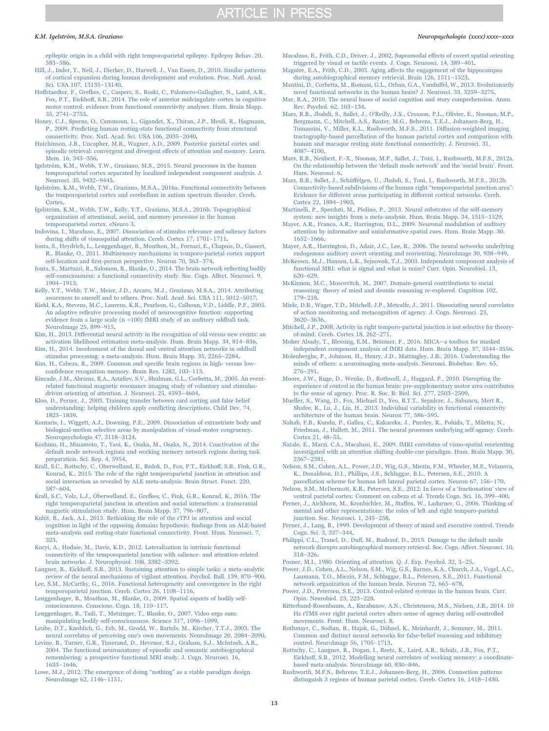[epileptic origin in a child with right temporoparietal epilepsy. Epilepsy Behav. 20,](http://refhub.elsevier.com/S0028-17)30001-sbref80) 583–[586](http://refhub.elsevier.com/S0028-17)30001-sbref80).

- [Hill, J., Inder, T., Neil, J., Dierker, D., Harwell, J., Van Essen, D., 2010. Similar patterns](http://refhub.elsevier.com/S0028-17)30001-sbref81) [of cortical expansion during human development and evolution. Proc. Natl. Acad.](http://refhub.elsevier.com/S0028-17)30001-sbref81) [Sci. USA 107, 13135](http://refhub.elsevier.com/S0028-17)30001-sbref81)–13140.
- <span id="page-12-0"></span>Hoff[staedter, F., Grefkes, C., Caspers, S., Roski, C., Palomero-Gallagher, N., Laird, A.R.,](http://refhub.elsevier.com/S0028-17)30001-sbref82) Fox, P.T., Eickhoff[, S.B., 2014. The role of anterior midcingulate cortex in cognitive](http://refhub.elsevier.com/S0028-17)30001-sbref82) [motor control: evidence from functional connectivity analyses. Hum. Brain Mapp.](http://refhub.elsevier.com/S0028-17)30001-sbref82) [35, 2741](http://refhub.elsevier.com/S0028-17)30001-sbref82)–2753.
- [Honey, C.J., Sporns, O., Cammoun, L., Gigandet, X., Thiran, J.P., Meuli, R., Hagmann,](http://refhub.elsevier.com/S0028-17)30001-sbref83) [P., 2009. Predicting human resting-state functional connectivity from structural](http://refhub.elsevier.com/S0028-17)30001-sbref83) [connectivity. Proc. Natl. Acad. Sci. USA 106, 2035](http://refhub.elsevier.com/S0028-17)30001-sbref83)–2040.
- <span id="page-12-24"></span>[Hutchinson, J.B., Uncapher, M.R., Wagner, A.D., 2009. Posterior parietal cortex and](http://refhub.elsevier.com/S0028-17)30001-sbref84) [episodic retrieval: convergent and divergent e](http://refhub.elsevier.com/S0028-17)30001-sbref84)ffects of attention and memory. Learn. [Mem. 16, 343](http://refhub.elsevier.com/S0028-17)30001-sbref84)–356.

<span id="page-12-1"></span>[Igelström, K.M., Webb, T.W., Graziano, M.S., 2015. Neural processes in the human](http://refhub.elsevier.com/S0028-17)30001-sbref85) [temporoparietal cortex separated by localized independent component analysis. J.](http://refhub.elsevier.com/S0028-17)30001-sbref85) [Neurosci. 35, 9432](http://refhub.elsevier.com/S0028-17)30001-sbref85)–9445.

<span id="page-12-2"></span>[Igelström, K.M., Webb, T.W., Graziano, M.S.A., 2016a. Functional connectivity between](http://refhub.elsevier.com/S0028-17)30001-sbref86) [the temporoparietal cortex and cerebellum in autism spectrum disorder. Cereb.](http://refhub.elsevier.com/S0028-17)30001-sbref86) [Cortex](http://refhub.elsevier.com/S0028-17)30001-sbref86).

<span id="page-12-30"></span>[Igelström, K.M., Webb, T.W., Kelly, Y.T., Graziano, M.S.A., 2016b. Topographical](http://refhub.elsevier.com/S0028-17)30001-sbref87) [organization of attentional, social, and memory processes in the human](http://refhub.elsevier.com/S0028-17)30001-sbref87) [temporoparietal cortex. eNeuro 3](http://refhub.elsevier.com/S0028-17)30001-sbref87).

- <span id="page-12-9"></span>[Indovina, I., Macaluso, E., 2007. Dissociation of stimulus relevance and saliency factors](http://refhub.elsevier.com/S0028-17)30001-sbref88) [during shifts of visuospatial attention. Cereb. Cortex 17, 1701](http://refhub.elsevier.com/S0028-17)30001-sbref88)–1711.
- [Ionta, S., Heydrich, L., Lenggenhager, B., Mouthon, M., Fornari, E., Chapuis, D., Gassert,](http://refhub.elsevier.com/S0028-17)30001-sbref89) [R., Blanke, O., 2011. Multisensory mechanisms in temporo-parietal cortex support](http://refhub.elsevier.com/S0028-17)30001-sbref89) self-location and fi[rst-person perspective. Neuron 70, 363](http://refhub.elsevier.com/S0028-17)30001-sbref89)–374.
- <span id="page-12-14"></span>[Ionta, S., Martuzzi, R., Salomon, R., Blanke, O., 2014. The brain network re](http://refhub.elsevier.com/S0028-17)30001-sbref90)flecting bodily [self-consciousness: a functional connectivity study. Soc. Cogn. A](http://refhub.elsevier.com/S0028-17)30001-sbref90)ffect. Neurosci. 9, 1904–[1913](http://refhub.elsevier.com/S0028-17)30001-sbref90).

<span id="page-12-31"></span>[Kelly, Y.T., Webb, T.W., Meier, J.D., Arcaro, M.J., Graziano, M.S.A., 2014. Attributing](http://refhub.elsevier.com/S0028-17)30001-sbref91) [awareness to oneself and to others. Proc. Natl. Acad. Sci. USA 111, 5012](http://refhub.elsevier.com/S0028-17)30001-sbref91)–5017.

<span id="page-12-13"></span>[Kiehl, K.A., Stevens, M.C., Laurens, K.R., Pearlson, G., Calhoun, V.D., Liddle, P.F., 2005.](http://refhub.elsevier.com/S0028-17)30001-sbref92) An adaptive refl[exive processing model of neurocognitive function: supporting](http://refhub.elsevier.com/S0028-17)30001-sbref92) [evidence from a large scale \(n =100\) fMRI study of an auditory oddball task.](http://refhub.elsevier.com/S0028-17)30001-sbref92) [NeuroImage 25, 899](http://refhub.elsevier.com/S0028-17)30001-sbref92)–915.

<span id="page-12-23"></span>Kim, H., 2013. Diff[erential neural activity in the recognition of old versus new events: an](http://refhub.elsevier.com/S0028-17)30001-sbref93) [activation likelihood estimation meta-analysis. Hum. Brain Mapp. 34, 814](http://refhub.elsevier.com/S0028-17)30001-sbref93)–836. [Kim, H., 2014. Involvement of the dorsal and ventral attention networks in oddball](http://refhub.elsevier.com/S0028-17)30001-sbref94)

[stimulus processing: a meta-analysis. Hum. Brain Mapp. 35, 2265](http://refhub.elsevier.com/S0028-17)30001-sbref94)–2284. [Kim, H., Cabeza, R., 2009. Common and speci](http://refhub.elsevier.com/S0028-17)30001-sbref95)fic brain regions in high- versus low-

confidence [recognition memory. Brain Res. 1282, 103](http://refhub.elsevier.com/S0028-17)30001-sbref95)–113.

Kincade, J.M., Abrams, R.A., Astafi[ev, S.V., Shulman, G.L., Corbetta, M., 2005. An event](http://refhub.elsevier.com/S0028-17)30001-sbref96)[related functional magnetic resonance imaging study of voluntary and stimulus](http://refhub.elsevier.com/S0028-17)30001-sbref96)[driven orienting of attention. J. Neurosci. 25, 4593](http://refhub.elsevier.com/S0028-17)30001-sbref96)–4604.

[Kloo, D., Perner, J., 2003. Training transfer between card sorting and false belief](http://refhub.elsevier.com/S0028-17)30001-sbref97) [understanding: helping children apply con](http://refhub.elsevier.com/S0028-17)30001-sbref97)flicting descriptions. Child Dev. 74, 1823–[1839](http://refhub.elsevier.com/S0028-17)30001-sbref97).

<span id="page-12-16"></span>[Kontaris, I., Wiggett, A.J., Downing, P.E., 2009. Dissociation of extrastriate body and](http://refhub.elsevier.com/S0028-17)30001-sbref98) [biological-motion selective areas by manipulation of visual-motor congruency.](http://refhub.elsevier.com/S0028-17)30001-sbref98) [Neuropsychologia 47, 3118](http://refhub.elsevier.com/S0028-17)30001-sbref98)–3124.

[Koshino, H., Minamoto, T., Yaoi, K., Osaka, M., Osaka, N., 2014. Coactivation of the](http://refhub.elsevier.com/S0028-17)30001-sbref99) [default mode network regions and working memory network regions during task](http://refhub.elsevier.com/S0028-17)30001-sbref99) [preparation. Sci. Rep. 4, 5954.](http://refhub.elsevier.com/S0028-17)30001-sbref99)

<span id="page-12-10"></span>[Krall, S.C., Rottschy, C., Oberwelland, E., Bzdok, D., Fox, P.T., Eickho](http://refhub.elsevier.com/S0028-17)30001-sbref100)ff, S.B., Fink, G.R., [Konrad, K., 2015. The role of the right temporoparietal junction in attention and](http://refhub.elsevier.com/S0028-17)30001-sbref100) [social interaction as revealed by ALE meta-analysis. Brain Struct. Funct. 220,](http://refhub.elsevier.com/S0028-17)30001-sbref100) 587–[604](http://refhub.elsevier.com/S0028-17)30001-sbref100).

[Krall, S.C., Volz, L.J., Oberwelland, E., Grefkes, C., Fink, G.R., Konrad, K., 2016. The](http://refhub.elsevier.com/S0028-17)30001-sbref101) [right temporoparietal junction in attention and social interaction: a transcranial](http://refhub.elsevier.com/S0028-17)30001-sbref101) [magnetic stimulation study. Hum. Brain Mapp. 37, 796](http://refhub.elsevier.com/S0028-17)30001-sbref101)–807.

[Kubit, B., Jack, A.I., 2013. Rethinking the role of the rTPJ in attention and social](http://refhub.elsevier.com/S0028-17)30001-sbref102) [cognition in light of the opposing domains hypothesis:](http://refhub.elsevier.com/S0028-17)30001-sbref102) findings from an ALE-based [meta-analysis and resting-state functional connectivity. Front. Hum. Neurosci. 7,](http://refhub.elsevier.com/S0028-17)30001-sbref102) [323](http://refhub.elsevier.com/S0028-17)30001-sbref102).

[Kucyi, A., Hodaie, M., Davis, K.D., 2012. Lateralization in intrinsic functional](http://refhub.elsevier.com/S0028-17)30001-sbref103) [connectivity of the temporoparietal junction with salience- and attention-related](http://refhub.elsevier.com/S0028-17)30001-sbref103) [brain networks. J. Neurophysiol. 108, 3382](http://refhub.elsevier.com/S0028-17)30001-sbref103)–3392.

<span id="page-12-5"></span>Langner, R., Eickhoff[, S.B., 2013. Sustaining attention to simple tasks: a meta-analytic](http://refhub.elsevier.com/S0028-17)30001-sbref104) [review of the neural mechanisms of vigilant attention. Psychol. Bull. 139, 870](http://refhub.elsevier.com/S0028-17)30001-sbref104)–900. [Lee, S.M., McCarthy, G., 2016. Functional heterogeneity and convergence in the right](http://refhub.elsevier.com/S0028-17)30001-sbref105)

[temporoparietal junction. Cereb. Cortex 26, 1108](http://refhub.elsevier.com/S0028-17)30001-sbref105)–1116.

[Lenggenhager, B., Mouthon, M., Blanke, O., 2009. Spatial aspects of bodily self](http://refhub.elsevier.com/S0028-17)30001-sbref106)[consciousness. Conscious. Cogn. 18, 110](http://refhub.elsevier.com/S0028-17)30001-sbref106)–117.

[Lenggenhager, B., Tadi, T., Metzinger, T., Blanke, O., 2007. Video ergo sum:](http://refhub.elsevier.com/S0028-17)30001-sbref107) [manipulating bodily self-consciousness. Science 317, 1096](http://refhub.elsevier.com/S0028-17)30001-sbref107)–1099.

[Leube, D.T., Knoblich, G., Erb, M., Grodd, W., Bartels, M., Kircher, T.T.J., 2003. The](http://refhub.elsevier.com/S0028-17)30001-sbref108) [neural correlates of perceiving one's own movements. NeuroImage 20, 2084](http://refhub.elsevier.com/S0028-17)30001-sbref108)–2090.

<span id="page-12-22"></span>[Levine, B., Turner, G.R., Tisserand, D., Hevenor, S.J., Graham, S.J., McIntosh, A.R.,](http://refhub.elsevier.com/S0028-17)30001-sbref109) [2004. The functional neuroanatomy of episodic and semantic autobiographical](http://refhub.elsevier.com/S0028-17)30001-sbref109) [remembering: a prospective functional MRI study. J. Cogn. Neurosci. 16,](http://refhub.elsevier.com/S0028-17)30001-sbref109) 1633–[1646](http://refhub.elsevier.com/S0028-17)30001-sbref109).

[Lowe, M.J., 2012. The emergence of doing](http://refhub.elsevier.com/S0028-17)30001-sbref110) "nothing" as a viable paradigm design. [NeuroImage 62, 1146](http://refhub.elsevier.com/S0028-17)30001-sbref110)–1151.

- <span id="page-12-11"></span>[Macaluso, E., Frith, C.D., Driver, J., 2002. Supramodal e](http://refhub.elsevier.com/S0028-17)30001-sbref111)ffects of covert spatial orienting [triggered by visual or tactile events. J. Cogn. Neurosci. 14, 389](http://refhub.elsevier.com/S0028-17)30001-sbref111)–401.
- Maguire, E.A., Frith, C.D., 2003. Aging aff[ects the engagement of the hippocampus](http://refhub.elsevier.com/S0028-17)30001-sbref112) [during autobiographical memory retrieval. Brain 126, 1511](http://refhub.elsevier.com/S0028-17)30001-sbref112)–1523.
- <span id="page-12-7"></span>[Mantini, D., Corbetta, M., Romani, G.L., Orban, G.A., Vandu](http://refhub.elsevier.com/S0028-17)30001-sbref113)ffel, W., 2013. Evolutionarily [novel functional networks in the human brain? J. Neurosci. 33, 3259](http://refhub.elsevier.com/S0028-17)30001-sbref113)–3275.
- <span id="page-12-27"></span>[Mar, R.A., 2010. The neural bases of social cognition and story comprehension. Annu.](http://refhub.elsevier.com/S0028-17)30001-sbref114) [Rev. Psychol. 62, 103](http://refhub.elsevier.com/S0028-17)30001-sbref114)–134.
- <span id="page-12-4"></span>Mars, R.B., Jbabdi, S., Sallet, J., O'[Reilly, J.X., Croxson, P.L., Olivier, E., Noonan, M.P.,](http://refhub.elsevier.com/S0028-17)30001-sbref115) [Bergmann, C., Mitchell, A.S., Baxter, M.G., Behrens, T.E.J., Johansen-Berg, H.,](http://refhub.elsevier.com/S0028-17)30001-sbref115) [Tomassini, V., Miller, K.L., Rushworth, M.F.S., 2011. Di](http://refhub.elsevier.com/S0028-17)30001-sbref115)ffusion-weighted imaging [tractography-based parcellation of the human parietal cortex and comparison with](http://refhub.elsevier.com/S0028-17)30001-sbref115) [human and macaque resting state functional connectivity. J. Neurosci. 31,](http://refhub.elsevier.com/S0028-17)30001-sbref115) 4087–[4100](http://refhub.elsevier.com/S0028-17)30001-sbref115).
- [Mars, R.B., Neubert, F.-X., Noonan, M.P., Sallet, J., Toni, I., Rushworth, M.F.S., 2012a.](http://refhub.elsevier.com/S0028-17)30001-sbref116) [On the relationship between the](http://refhub.elsevier.com/S0028-17)30001-sbref116) 'default mode network' and the 'social brain'. Front. [Hum. Neurosci. 6.](http://refhub.elsevier.com/S0028-17)30001-sbref116)

<span id="page-12-3"></span>Mars, R.B., Sallet, J., Schüff[elgen, U., Jbabdi, S., Toni, I., Rushworth, M.F.S., 2012b.](http://refhub.elsevier.com/S0028-17)30001-sbref117) [Connectivity-based subdivisions of the human right](http://refhub.elsevier.com/S0028-17)30001-sbref117) "temporoparietal junction area": Evidence for different areas participating in diff[erent cortical networks. Cereb.](http://refhub.elsevier.com/S0028-17)30001-sbref117) [Cortex 22, 1894](http://refhub.elsevier.com/S0028-17)30001-sbref117)–1903.

<span id="page-12-21"></span>[Martinelli, P., Sperduti, M., Piolino, P., 2013. Neural substrates of the self-memory](http://refhub.elsevier.com/S0028-17)30001-sbref118) [system: new insights from a meta-analysis. Hum. Brain Mapp. 34, 1515](http://refhub.elsevier.com/S0028-17)30001-sbref118)–1529.

<span id="page-12-12"></span>[Mayer, A.R., Franco, A.R., Harrington, D.L., 2009. Neuronal modulation of auditory](http://refhub.elsevier.com/S0028-17)30001-sbref119) [attention by informative and uninformative spatial cues. Hum. Brain Mapp. 30,](http://refhub.elsevier.com/S0028-17)30001-sbref119) 1652–[1666](http://refhub.elsevier.com/S0028-17)30001-sbref119).

[Mayer, A.R., Harrington, D., Adair, J.C., Lee, R., 2006. The neural networks underlying](http://refhub.elsevier.com/S0028-17)30001-sbref120) [endogenous auditory covert orienting and reorienting. NeuroImage 30, 938](http://refhub.elsevier.com/S0028-17)30001-sbref120)–949.

[McKeown, M.J., Hansen, L.K., Sejnowsk, T.J., 2003. Independent component analysis of](http://refhub.elsevier.com/S0028-17)30001-sbref121) [functional MRI: what is signal and what is noise? Curr. Opin. Neurobiol. 13,](http://refhub.elsevier.com/S0028-17)30001-sbref121) 620–[629](http://refhub.elsevier.com/S0028-17)30001-sbref121).

[McKinnon, M.C., Moscovitch, M., 2007. Domain-general contributions to social](http://refhub.elsevier.com/S0028-17)30001-sbref122) [reasoning: theory of mind and deontic reasoning re-explored. Cognition 102,](http://refhub.elsevier.com/S0028-17)30001-sbref122) 179–[218](http://refhub.elsevier.com/S0028-17)30001-sbref122).

<span id="page-12-15"></span>[Miele, D.B., Wager, T.D., Mitchell, J.P., Metcalfe, J., 2011. Dissociating neural correlates](http://refhub.elsevier.com/S0028-17)30001-sbref123) [of action monitoring and metacognition of agency. J. Cogn. Neurosci. 23,](http://refhub.elsevier.com/S0028-17)30001-sbref123) 3620–[3636](http://refhub.elsevier.com/S0028-17)30001-sbref123).

<span id="page-12-32"></span>[Mitchell, J.P., 2008. Activity in right temporo-parietal junction is not selective for theory](http://refhub.elsevier.com/S0028-17)30001-sbref124)[of-mind. Cereb. Cortex 18, 262](http://refhub.elsevier.com/S0028-17)30001-sbref124)–271.

Moher [Alsady, T., Blessing, E.M., Beissner, F., 2016. MICA](http://refhub.elsevier.com/S0028-17)30001-sbref125)—a toolbox for masked [independent component analysis of fMRI data. Hum. Brain Mapp. 37, 3544](http://refhub.elsevier.com/S0028-17)30001-sbref125)–3556.

<span id="page-12-25"></span>[Molenberghs, P., Johnson, H., Henry, J.D., Mattingley, J.B., 2016. Understanding the](http://refhub.elsevier.com/S0028-17)30001-sbref126) [minds of others: a neuroimaging meta-analysis. Neurosci. Biobehav. Rev. 65,](http://refhub.elsevier.com/S0028-17)30001-sbref126) 276–[291](http://refhub.elsevier.com/S0028-17)30001-sbref126).

<span id="page-12-18"></span>[Moore, J.W., Ruge, D., Wenke, D., Rothwell, J., Haggard, P., 2010. Disrupting the](http://refhub.elsevier.com/S0028-17)30001-sbref127) [experience of control in the human brain: pre-supplementary motor area contributes](http://refhub.elsevier.com/S0028-17)30001-sbref127) [to the sense of agency. Proc. R. Soc. B: Biol. Sci. 277, 2503](http://refhub.elsevier.com/S0028-17)30001-sbref127)–2509.

[Mueller, S., Wang, D., Fox, Michael D., Yeo, B.T.T., Sepulcre, J., Sabuncu, Mert R.,](http://refhub.elsevier.com/S0028-17)30001-sbref128) [Shafee, R., Lu, J., Liu, H., 2013. Individual variability in functional connectivity](http://refhub.elsevier.com/S0028-17)30001-sbref128) [architecture of the human brain. Neuron 77, 586](http://refhub.elsevier.com/S0028-17)30001-sbref128)–595.

<span id="page-12-19"></span>[Nahab, F.B., Kundu, P., Gallea, C., Kakareka, J., Pursley, R., Pohida, T., Miletta, N.,](http://refhub.elsevier.com/S0028-17)30001-sbref129) [Friedman, J., Hallett, M., 2011. The neural processes underlying self-agency. Cereb.](http://refhub.elsevier.com/S0028-17)30001-sbref129) [Cortex 21, 48](http://refhub.elsevier.com/S0028-17)30001-sbref129)–55.

[Natale, E., Marzi, C.A., Macaluso, E., 2009. fMRI correlates of visuo-spatial reorienting](http://refhub.elsevier.com/S0028-17)30001-sbref130) [investigated with an attention shifting double-cue paradigm. Hum. Brain Mapp. 30,](http://refhub.elsevier.com/S0028-17)30001-sbref130) 2367–[2381](http://refhub.elsevier.com/S0028-17)30001-sbref130).

<span id="page-12-33"></span>[Nelson, S.M., Cohen, A.L., Power, J.D., Wig, G.S., Miezin, F.M., Wheeler, M.E., Velanova,](http://refhub.elsevier.com/S0028-17)30001-sbref131) [K., Donaldson, D.I., Phillips, J.S., Schlaggar, B.L., Petersen, S.E., 2010. A](http://refhub.elsevier.com/S0028-17)30001-sbref131)

<span id="page-12-34"></span>[parcellation scheme for human left lateral parietal cortex. Neuron 67, 156](http://refhub.elsevier.com/S0028-17)30001-sbref131)–170. [Nelson, S.M., McDermott, K.B., Petersen, S.E., 2012. In favor of a](http://refhub.elsevier.com/S0028-17)30001-sbref132) 'fractionation' view of [ventral parietal cortex: Comment on cabeza et al. Trends Cogn. Sci. 16, 399](http://refhub.elsevier.com/S0028-17)30001-sbref132)–400.

<span id="page-12-26"></span>[Perner, J., Aichhorn, M., Kronbichler, M., Sta](http://refhub.elsevier.com/S0028-17)30001-sbref133)ffen, W., Ladurner, G., 2006. Thinking of [mental and other representations: the roles of left and right temporo-parietal](http://refhub.elsevier.com/S0028-17)30001-sbref133) [junction. Soc. Neurosci. 1, 245](http://refhub.elsevier.com/S0028-17)30001-sbref133)–258.

<span id="page-12-28"></span>[Perner, J., Lang, B., 1999. Development of theory of mind and executive control. Trends](http://refhub.elsevier.com/S0028-17)30001-sbref134) [Cogn. Sci. 3, 337](http://refhub.elsevier.com/S0028-17)30001-sbref134)–344.

<span id="page-12-20"></span>Philippi, C.L., Tranel, D., Duff[, M., Rudrauf, D., 2015. Damage to the default mode](http://refhub.elsevier.com/S0028-17)30001-sbref135) [network disrupts autobiographical memory retrieval. Soc. Cogn. A](http://refhub.elsevier.com/S0028-17)30001-sbref135)ffect. Neurosci. 10, 318–[326](http://refhub.elsevier.com/S0028-17)30001-sbref135).

<span id="page-12-8"></span>[Posner, M.I., 1980. Orienting of attention. Q. J. Exp. Psychol. 32, 3](http://refhub.elsevier.com/S0028-17)30001-sbref136)–25.

[Power, J.D., Cohen, A.L., Nelson, S.M., Wig, G.S., Barnes, K.A., Church, J.A., Vogel, A.C.,](http://refhub.elsevier.com/S0028-17)30001-sbref137) [Laumann, T.O., Miezin, F.M., Schlaggar, B.L., Petersen, S.E., 2011. Functional](http://refhub.elsevier.com/S0028-17)30001-sbref137) [network organization of the human brain. Neuron 72, 665](http://refhub.elsevier.com/S0028-17)30001-sbref137)–678.

<span id="page-12-6"></span>[Power, J.D., Petersen, S.E., 2013. Control-related systems in the human brain. Curr.](http://refhub.elsevier.com/S0028-17)30001-sbref138) [Opin. Neurobiol. 23, 223](http://refhub.elsevier.com/S0028-17)30001-sbref138)–228.

<span id="page-12-17"></span>[Ritterband-Rosenbaum, A., Karabanov, A.N., Christensen, M.S., Nielsen, J.B., 2014. 10](http://refhub.elsevier.com/S0028-17)30001-sbref139) [Hz rTMS over right parietal cortex alters sense of agency during self-controlled](http://refhub.elsevier.com/S0028-17)30001-sbref139) [movements. Front. Hum. Neurosci. 8.](http://refhub.elsevier.com/S0028-17)30001-sbref139)

<span id="page-12-29"></span>[Rothmayr, C., Sodian, B., Hajak, G., Döhnel, K., Meinhardt, J., Sommer, M., 2011.](http://refhub.elsevier.com/S0028-17)30001-sbref140) [Common and distinct neural networks for false-belief reasoning and inhibitory](http://refhub.elsevier.com/S0028-17)30001-sbref140) [control. NeuroImage 56, 1705](http://refhub.elsevier.com/S0028-17)30001-sbref140)–1713.

Rottschy, [C., Langner, R., Dogan, I., Reetz, K., Laird, A.R., Schulz, J.B., Fox, P.T.,](http://refhub.elsevier.com/S0028-17)30001-sbref141) Eickhoff[, S.B., 2012. Modelling neural correlates of working memory: a coordinate](http://refhub.elsevier.com/S0028-17)30001-sbref141)[based meta-analysis. NeuroImage 60, 830](http://refhub.elsevier.com/S0028-17)30001-sbref141)–846.

[Rushworth, M.F.S., Behrens, T.E.J., Johansen-Berg, H., 2006. Connection patterns](http://refhub.elsevier.com/S0028-17)30001-sbref142) [distinguish 3 regions of human parietal cortex. Cereb. Cortex 16, 1418](http://refhub.elsevier.com/S0028-17)30001-sbref142)–1430.

#### K.M. Igelström, M.S.A. Graziano *Neuropsychologia (xxxx) xxxx–xxxx*